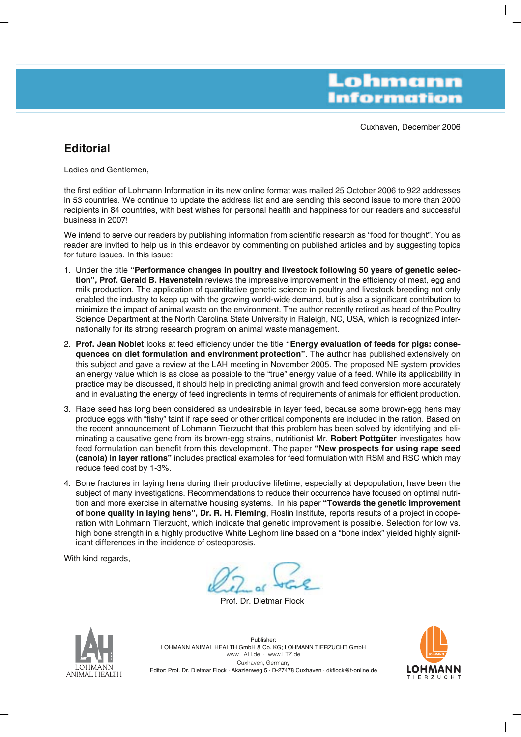Lohmann **Information** 

Cuxhaven, December 2006

# **Editorial**

Ladies and Gentlemen,

the first edition of Lohmann Information in its new online format was mailed 25 October 2006 to 922 addresses in 53 countries. We continue to update the address list and are sending this second issue to more than 2000 recipients in 84 countries, with best wishes for personal health and happiness for our readers and successful business in 2007!

We intend to serve our readers by publishing information from scientific research as "food for thought". You as reader are invited to help us in this endeavor by commenting on published articles and by suggesting topics for future issues. In this issue:

- 1. Under the title **"Performance changes in poultry and livestock following 50 years of genetic selection", Prof. Gerald B. Havenstein** reviews the impressive improvement in the efficiency of meat, egg and milk production. The application of quantitative genetic science in poultry and livestock breeding not only enabled the industry to keep up with the growing world-wide demand, but is also a significant contribution to minimize the impact of animal waste on the environment. The author recently retired as head of the Poultry Science Department at the North Carolina State University in Raleigh, NC, USA, which is recognized internationally for its strong research program on animal waste management.
- 2. **Prof. Jean Noblet** looks at feed efficiency under the title **"Energy evaluation of feeds for pigs: consequences on diet formulation and environment protection"**. The author has published extensively on this subject and gave a review at the LAH meeting in November 2005. The proposed NE system provides an energy value which is as close as possible to the "true" energy value of a feed. While its applicability in practice may be discussed, it should help in predicting animal growth and feed conversion more accurately and in evaluating the energy of feed ingredients in terms of requirements of animals for efficient production.
- 3. Rape seed has long been considered as undesirable in layer feed, because some brown-egg hens may produce eggs with "fishy" taint if rape seed or other critical components are included in the ration. Based on the recent announcement of Lohmann Tierzucht that this problem has been solved by identifying and eliminating a causative gene from its brown-egg strains, nutritionist Mr. **Robert Pottgüter** investigates how feed formulation can benefit from this development. The paper **"New prospects for using rape seed (canola) in layer rations"** includes practical examples for feed formulation with RSM and RSC which may reduce feed cost by 1-3%.
- 4. Bone fractures in laying hens during their productive lifetime, especially at depopulation, have been the subject of many investigations. Recommendations to reduce their occurrence have focused on optimal nutrition and more exercise in alternative housing systems. In his paper **"Towards the genetic improvement of bone quality in laying hens", Dr. R. H. Fleming**, Roslin Institute, reports results of a project in cooperation with Lohmann Tierzucht, which indicate that genetic improvement is possible. Selection for low vs. high bone strength in a highly productive White Leghorn line based on a "bone index" yielded highly significant differences in the incidence of osteoporosis.

With kind regards,

Prof. Dr. Dietmar Flock



Publisher: LOHMANN ANIMAL HEALTH GmbH & Co. KG; LOHMANN TIERZUCHT GmbH www.LAH.de · www.LTZ.de Cuxhaven, Germany Editor: Prof. Dr. Dietmar Flock · Akazienweg 5 · D-27478 Cuxhaven · dkflock@t-online.de

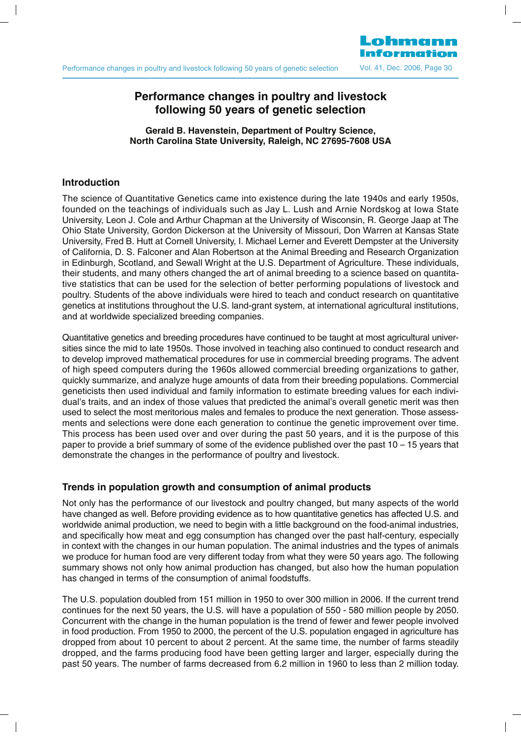Lohmann

# **Performance changes in poultry and livestock following 50 years of genetic selection**

**Gerald B. Havenstein, Department of Poultry Science, North Carolina State University, Raleigh, NC 27695-7608 USA**

#### **Introduction**

The science of Quantitative Genetics came into existence during the late 1940s and early 1950s, founded on the teachings of individuals such as Jay L. Lush and Arnie Nordskog at Iowa State University, Leon J. Cole and Arthur Chapman at the University of Wisconsin, R. George Jaap at The Ohio State University, Gordon Dickerson at the University of Missouri, Don Warren at Kansas State University, Fred B. Hutt at Cornell University, I. Michael Lerner and Everett Dempster at the University of California, D. S. Falconer and Alan Robertson at the Animal Breeding and Research Organization in Edinburgh, Scotland, and Sewall Wright at the U.S. Department of Agriculture. These individuals, their students, and many others changed the art of animal breeding to a science based on quantitative statistics that can be used for the selection of better performing populations of livestock and poultry. Students of the above individuals were hired to teach and conduct research on quantitative genetics at institutions throughout the U.S. land-grant system, at international agricultural institutions, and at worldwide specialized breeding companies.

Quantitative genetics and breeding procedures have continued to be taught at most agricultural universities since the mid to late 1950s. Those involved in teaching also continued to conduct research and to develop improved mathematical procedures for use in commercial breeding programs. The advent of high speed computers during the 1960s allowed commercial breeding organizations to gather, quickly summarize, and analyze huge amounts of data from their breeding populations. Commercial geneticists then used individual and family information to estimate breeding values for each individual's traits, and an index of those values that predicted the animal's overall genetic merit was then used to select the most meritorious males and females to produce the next generation. Those assessments and selections were done each generation to continue the genetic improvement over time. This process has been used over and over during the past 50 years, and it is the purpose of this paper to provide a brief summary of some of the evidence published over the past 10 – 15 years that demonstrate the changes in the performance of poultry and livestock.

# **Trends in population growth and consumption of animal products**

Not only has the performance of our livestock and poultry changed, but many aspects of the world have changed as well. Before providing evidence as to how quantitative genetics has affected U.S. and worldwide animal production, we need to begin with a little background on the food-animal industries, and specifically how meat and egg consumption has changed over the past half-century, especially in context with the changes in our human population. The animal industries and the types of animals we produce for human food are very different today from what they were 50 years ago. The following summary shows not only how animal production has changed, but also how the human population has changed in terms of the consumption of animal foodstuffs.

The U.S. population doubled from 151 million in 1950 to over 300 million in 2006. If the current trend continues for the next 50 years, the U.S. will have a population of 550 - 580 million people by 2050. Concurrent with the change in the human population is the trend of fewer and fewer people involved in food production. From 1950 to 2000, the percent of the U.S. population engaged in agriculture has dropped from about 10 percent to about 2 percent. At the same time, the number of farms steadily dropped, and the farms producing food have been getting larger and larger, especially during the past 50 years. The number of farms decreased from 6.2 million in 1960 to less than 2 million today.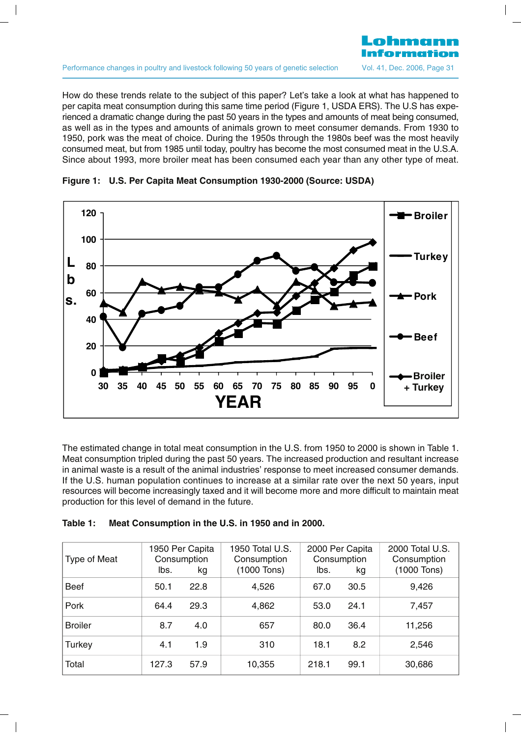How do these trends relate to the subject of this paper? Let's take a look at what has happened to per capita meat consumption during this same time period (Figure 1, USDA ERS). The U.S has experienced a dramatic change during the past 50 years in the types and amounts of meat being consumed, as well as in the types and amounts of animals grown to meet consumer demands. From 1930 to 1950, pork was the meat of choice. During the 1950s through the 1980s beef was the most heavily consumed meat, but from 1985 until today, poultry has become the most consumed meat in the U.S.A. Since about 1993, more broiler meat has been consumed each year than any other type of meat.



**Figure 1: U.S. Per Capita Meat Consumption 1930-2000 (Source: USDA)**

The estimated change in total meat consumption in the U.S. from 1950 to 2000 is shown in Table 1. Meat consumption tripled during the past 50 years. The increased production and resultant increase in animal waste is a result of the animal industries' response to meet increased consumer demands. If the U.S. human population continues to increase at a similar rate over the next 50 years, input resources will become increasingly taxed and it will become more and more difficult to maintain meat production for this level of demand in the future.

| Table 1: |  |  | Meat Consumption in the U.S. in 1950 and in 2000. |
|----------|--|--|---------------------------------------------------|
|----------|--|--|---------------------------------------------------|

| Type of Meat   | lbs.  | 1950 Per Capita<br>Consumption<br>kg | 1950 Total U.S.<br>Consumption<br>(1000 Tons) | lbs.  | 2000 Per Capita<br>Consumption<br>kg | 2000 Total U.S.<br>Consumption<br>(1000 Tons) |
|----------------|-------|--------------------------------------|-----------------------------------------------|-------|--------------------------------------|-----------------------------------------------|
| Beef           | 50.1  | 22.8                                 | 4,526                                         | 67.0  | 30.5                                 | 9,426                                         |
| Pork           | 64.4  | 29.3                                 | 4,862                                         | 53.0  | 24.1                                 | 7,457                                         |
| <b>Broiler</b> | 8.7   | 4.0                                  | 657                                           | 80.0  | 36.4                                 | 11,256                                        |
| Turkey         | 4.1   | 1.9                                  | 310                                           | 18.1  | 8.2                                  | 2,546                                         |
| Total          | 127.3 | 57.9                                 | 10,355                                        | 218.1 | 99.1                                 | 30,686                                        |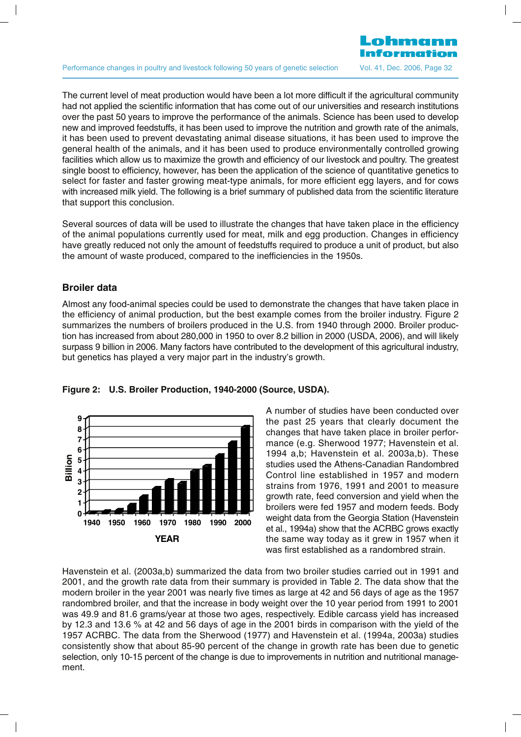The current level of meat production would have been a lot more difficult if the agricultural community had not applied the scientific information that has come out of our universities and research institutions over the past 50 years to improve the performance of the animals. Science has been used to develop new and improved feedstuffs, it has been used to improve the nutrition and growth rate of the animals, it has been used to prevent devastating animal disease situations, it has been used to improve the general health of the animals, and it has been used to produce environmentally controlled growing facilities which allow us to maximize the growth and efficiency of our livestock and poultry. The greatest single boost to efficiency, however, has been the application of the science of quantitative genetics to select for faster and faster growing meat-type animals, for more efficient egg layers, and for cows with increased milk yield. The following is a brief summary of published data from the scientific literature that support this conclusion.

Several sources of data will be used to illustrate the changes that have taken place in the efficiency of the animal populations currently used for meat, milk and egg production. Changes in efficiency have greatly reduced not only the amount of feedstuffs required to produce a unit of product, but also the amount of waste produced, compared to the inefficiencies in the 1950s.

# **Broiler data**

Almost any food-animal species could be used to demonstrate the changes that have taken place in the efficiency of animal production, but the best example comes from the broiler industry. Figure 2 summarizes the numbers of broilers produced in the U.S. from 1940 through 2000. Broiler production has increased from about 280,000 in 1950 to over 8.2 billion in 2000 (USDA, 2006), and will likely surpass 9 billion in 2006. Many factors have contributed to the development of this agricultural industry, but genetics has played a very major part in the industry's growth.



#### **Figure 2: U.S. Broiler Production, 1940-2000 (Source, USDA).**

A number of studies have been conducted over the past 25 years that clearly document the changes that have taken place in broiler performance (e.g. Sherwood 1977; Havenstein et al. 1994 a,b; Havenstein et al. 2003a,b). These studies used the Athens-Canadian Randombred Control line established in 1957 and modern strains from 1976, 1991 and 2001 to measure growth rate, feed conversion and yield when the broilers were fed 1957 and modern feeds. Body weight data from the Georgia Station (Havenstein et al., 1994a) show that the ACRBC grows exactly the same way today as it grew in 1957 when it was first established as a randombred strain.

Havenstein et al. (2003a,b) summarized the data from two broiler studies carried out in 1991 and 2001, and the growth rate data from their summary is provided in Table 2. The data show that the modern broiler in the year 2001 was nearly five times as large at 42 and 56 days of age as the 1957 randombred broiler, and that the increase in body weight over the 10 year period from 1991 to 2001 was 49.9 and 81.6 grams/year at those two ages, respectively. Edible carcass yield has increased by 12.3 and 13.6 % at 42 and 56 days of age in the 2001 birds in comparison with the yield of the 1957 ACRBC. The data from the Sherwood (1977) and Havenstein et al. (1994a, 2003a) studies consistently show that about 85-90 percent of the change in growth rate has been due to genetic selection, only 10-15 percent of the change is due to improvements in nutrition and nutritional management.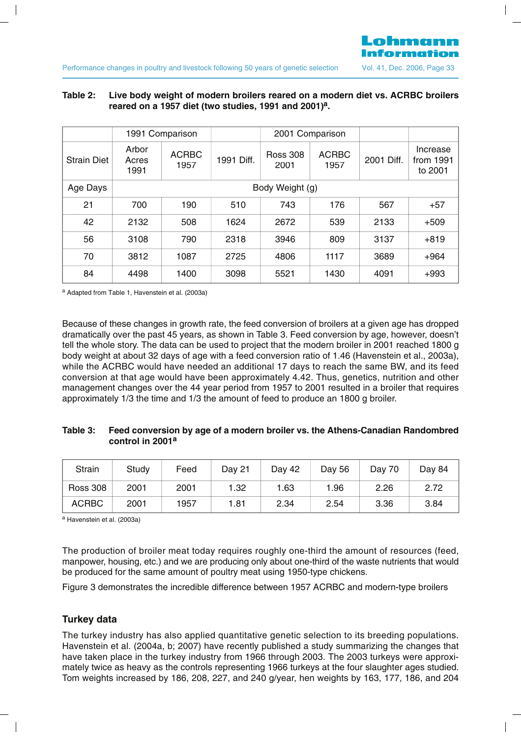# **T bl Li b d i h f d b il d d di ACRBC b il Table 2: Live body weight of modern broilers reared on a modern diet vs. ACRBC broilers reared on a 1957 diet (two studies, 1991 and 2001) a.**

Lohmann

|                    |                        |                      |            | 1991 Comparison         |                      | 2001 Comparison |                                  |  |  |
|--------------------|------------------------|----------------------|------------|-------------------------|----------------------|-----------------|----------------------------------|--|--|
| <b>Strain Diet</b> | Arbor<br>Acres<br>1991 | <b>ACRBC</b><br>1957 | 1991 Diff. | <b>Ross 308</b><br>2001 | <b>ACRBC</b><br>1957 | 2001 Diff.      | Increase<br>from 1991<br>to 2001 |  |  |
| Age Days           |                        |                      |            | Body Weight (g)         |                      |                 |                                  |  |  |
| 21                 | 700                    | 190                  | 510        | 743                     | 176                  | 567             | $+57$                            |  |  |
| 42                 | 2132                   | 508                  | 1624       | 2672                    | 539                  | 2133            | $+509$                           |  |  |
| 56                 | 3108                   | 790                  | 2318       | 3946                    | 809                  | 3137            | $+819$                           |  |  |
| 70                 | 3812                   | 1087                 | 2725       | 4806                    | 1117                 | 3689            | $+964$                           |  |  |
| 84                 | 4498                   | 1400                 | 3098       | 5521                    | 1430                 | 4091            | $+993$                           |  |  |

<sup>a</sup> Adapted from Table 1, Havenstein et al. (2003a)

Because of these changes in growth rate, the feed conversion of broilers at a given age has dropped dramatically over the past 45 years, as shown in Table 3. Feed conversion by age, however, doesn't tell the whole story. The data can be used to project that the modern broiler in 2001 reached 1800 g body weight at about 32 days of age with a feed conversion ratio of 1.46 (Havenstein et al., 2003a), while the ACRBC would have needed an additional 17 days to reach the same BW, and its feed conversion at that age would have been approximately 4.42. Thus, genetics, nutrition and other management changes over the 44 year period from 1957 to 2001 resulted in a broiler that requires approximately 1/3 the time and 1/3 the amount of feed to produce an 1800 g broiler.

# **Table 3: Feed conversion by age of a modern broiler vs. the Athens-Canadian Randombred control in 2001a**

| Strain          | Study | Feed | Dav 21 | Day 42 | Day 56 | Day 70 | Day 84 |
|-----------------|-------|------|--------|--------|--------|--------|--------|
| <b>Ross 308</b> | 2001  | 2001 | 1.32   | 1.63   | 1.96   | 2.26   | 2.72   |
| <b>ACRBC</b>    | 2001  | 1957 | 1.81   | 2.34   | 2.54   | 3.36   | 3.84   |

<sup>a</sup> Havenstein et al. (2003a)

The production of broiler meat today requires roughly one-third the amount of resources (feed, manpower, housing, etc.) and we are producing only about one-third of the waste nutrients that would be produced for the same amount of poultry meat using 1950-type chickens.

Figure 3 demonstrates the incredible difference between 1957 ACRBC and modern-type broilers

# **Turkey data**

The turkey industry has also applied quantitative genetic selection to its breeding populations. Havenstein et al. (2004a, b; 2007) have recently published a study summarizing the changes that have taken place in the turkey industry from 1966 through 2003. The 2003 turkeys were approximately twice as heavy as the controls representing 1966 turkeys at the four slaughter ages studied. Tom weights increased by 186, 208, 227, and 240 g/year, hen weights by 163, 177, 186, and 204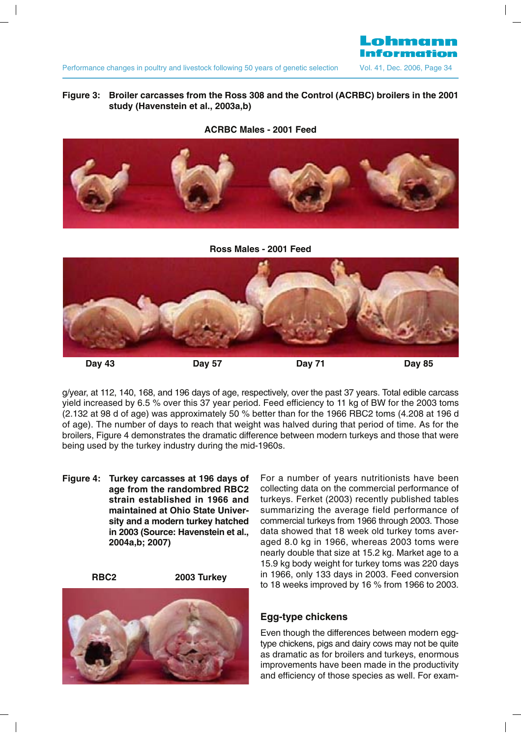# Lohmann

# **Fi B il f h R d h C l (ACRBC) b il i h Figure 3: Broiler carcasses from the Ross 308 and the Control (ACRBC) broilers in the 2001 study (Havenstein et al., 2003a,b)**

#### **ACRBC Males - 2001 Feed**



**Ross Males - 2001 Feed**



g/year, at 112, 140, 168, and 196 days of age, respectively, over the past 37 years. Total edible carcass yield increased by 6.5 % over this 37 year period. Feed efficiency to 11 kg of BW for the 2003 toms (2.132 at 98 d of age) was approximately 50 % better than for the 1966 RBC2 toms (4.208 at 196 d of age). The number of days to reach that weight was halved during that period of time. As for the broilers, Figure 4 demonstrates the dramatic difference between modern turkeys and those that were being used by the turkey industry during the mid-1960s.

**Figure 4: Turkey carcasses at 196 days of age from the randombred RBC2 strain established in 1966 and maintained at Ohio State University and a modern turkey hatched in 2003 (Source: Havenstein et al., 2004a,b; 2007)**



For a number of years nutritionists have been collecting data on the commercial performance of turkeys. Ferket (2003) recently published tables summarizing the average field performance of commercial turkeys from 1966 through 2003. Those data showed that 18 week old turkey toms averaged 8.0 kg in 1966, whereas 2003 toms were nearly double that size at 15.2 kg. Market age to a 15.9 kg body weight for turkey toms was 220 days in 1966, only 133 days in 2003. Feed conversion to 18 weeks improved by 16 % from 1966 to 2003.

# **Egg-type chickens**

Even though the differences between modern eggtype chickens, pigs and dairy cows may not be quite as dramatic as for broilers and turkeys, enormous improvements have been made in the productivity and efficiency of those species as well. For exam-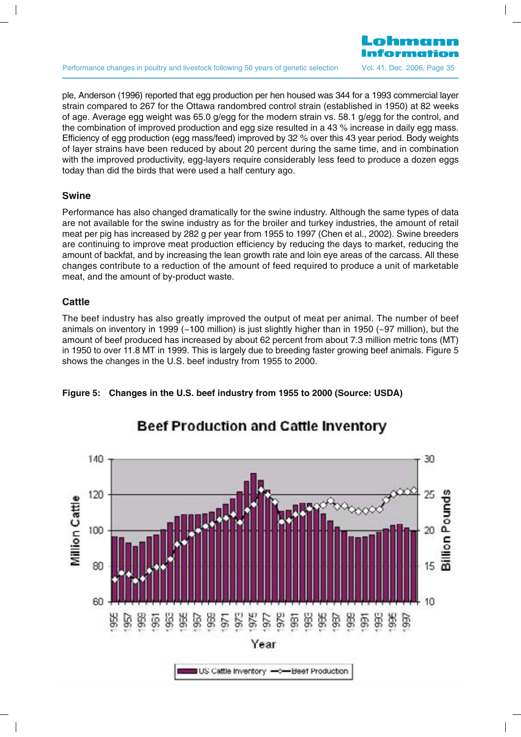ple. Anderson (1996) reported that egg production per hen housed was 344 for a 1993 commercial layer strain compared to 267 for the Ottawa randombred control strain (established in 1950) at 82 weeks of age. Average egg weight was 65.0 g/egg for the modern strain vs. 58.1 g/egg for the control, and the combination of improved production and egg size resulted in a 43 % increase in daily egg mass. Efficiency of egg production (egg mass/feed) improved by 32 % over this 43 year period. Body weights of layer strains have been reduced by about 20 percent during the same time, and in combination with the improved productivity, egg-layers require considerably less feed to produce a dozen eggs today than did the birds that were used a half century ago.

#### **Swine**

Performance has also changed dramatically for the swine industry. Although the same types of data are not available for the swine industry as for the broiler and turkey industries, the amount of retail meat per pig has increased by 282 g per year from 1955 to 1997 (Chen et al., 2002). Swine breeders are continuing to improve meat production efficiency by reducing the days to market, reducing the amount of backfat, and by increasing the lean growth rate and loin eye areas of the carcass. All these changes contribute to a reduction of the amount of feed required to produce a unit of marketable meat, and the amount of by-product waste.

# **Cattle**

The beef industry has also greatly improved the output of meat per animal. The number of beef animals on inventory in 1999 (~100 million) is just slightly higher than in 1950 (~97 million), but the amount of beef produced has increased by about 62 percent from about 7.3 million metric tons (MT) in 1950 to over 11.8 MT in 1999. This is largely due to breeding faster growing beef animals. Figure 5 shows the changes in the U.S. beef industry from 1955 to 2000.

Beef Production and Cattle Inventory



#### **Figure 5: Changes in the U.S. beef industry from 1955 to 2000 (Source: USDA)**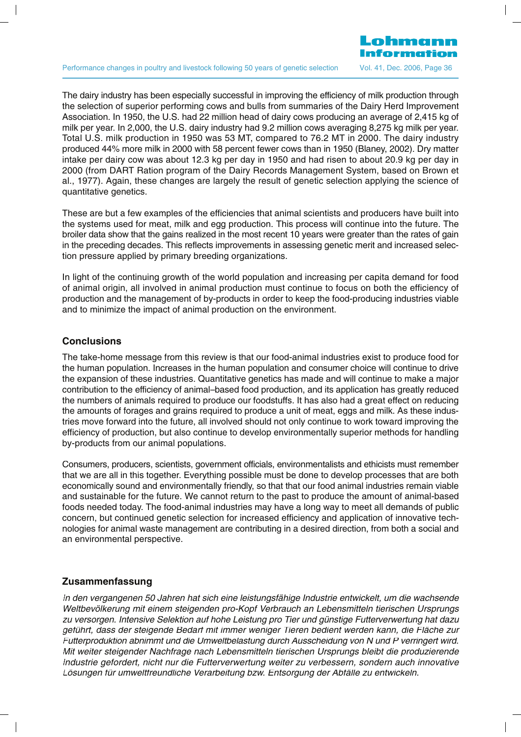

The dairy industry has been especially successful in improving the efficiency of milk production through the selection of superior performing cows and bulls from summaries of the Dairy Herd Improvement Association. In 1950, the U.S. had 22 million head of dairy cows producing an average of 2,415 kg of milk per year. In 2,000, the U.S. dairy industry had 9.2 million cows averaging 8,275 kg milk per year. Total U.S. milk production in 1950 was 53 MT, compared to 76.2 MT in 2000. The dairy industry produced 44% more milk in 2000 with 58 percent fewer cows than in 1950 (Blaney, 2002). Dry matter intake per dairy cow was about 12.3 kg per day in 1950 and had risen to about 20.9 kg per day in 2000 (from DART Ration program of the Dairy Records Management System, based on Brown et al., 1977). Again, these changes are largely the result of genetic selection applying the science of quantitative genetics.

These are but a few examples of the efficiencies that animal scientists and producers have built into the systems used for meat, milk and egg production. This process will continue into the future. The broiler data show that the gains realized in the most recent 10 years were greater than the rates of gain in the preceding decades. This reflects improvements in assessing genetic merit and increased selection pressure applied by primary breeding organizations.

In light of the continuing growth of the world population and increasing per capita demand for food of animal origin, all involved in animal production must continue to focus on both the efficiency of production and the management of by-products in order to keep the food-producing industries viable and to minimize the impact of animal production on the environment.

#### **Conclusions**

The take-home message from this review is that our food-animal industries exist to produce food for the human population. Increases in the human population and consumer choice will continue to drive the expansion of these industries. Quantitative genetics has made and will continue to make a major contribution to the efficiency of animal–based food production, and its application has greatly reduced the numbers of animals required to produce our foodstuffs. It has also had a great effect on reducing the amounts of forages and grains required to produce a unit of meat, eggs and milk. As these industries move forward into the future, all involved should not only continue to work toward improving the efficiency of production, but also continue to develop environmentally superior methods for handling by-products from our animal populations.

Consumers, producers, scientists, government officials, environmentalists and ethicists must remember that we are all in this together. Everything possible must be done to develop processes that are both economically sound and environmentally friendly, so that that our food animal industries remain viable and sustainable for the future. We cannot return to the past to produce the amount of animal-based foods needed today. The food-animal industries may have a long way to meet all demands of public concern, but continued genetic selection for increased efficiency and application of innovative technologies for animal waste management are contributing in a desired direction, from both a social and an environmental perspective.

# **Zusammenfassung**

In den vergangenen 50 Jahren hat sich eine leistungsfähige Industrie entwickelt, um die wachsende Weltbevölkerung mit einem steigenden pro-Kopf Verbrauch an Lebensmitteln tierischen Ursprungs zu versorgen. Intensive Selektion auf hohe Leistung pro Tier und günstige Futterverwertung hat dazu geführt, dass der steigende Bedarf mit immer weniger Tieren bedient werden kann, die Fläche zur Futterproduktion abnimmt und die Umweltbelastung durch Ausscheidung von N und P verringert wird. Mit weiter steigender Nachfrage nach Lebensmitteln tierischen Ursprungs bleibt die produzierende Industrie gefordert, nicht nur die Futterverwertung weiter zu verbessern, sondern auch innovative Lösungen für umweltfreundliche Verarbeitung bzw. Entsorgung der Abfälle zu entwickeln.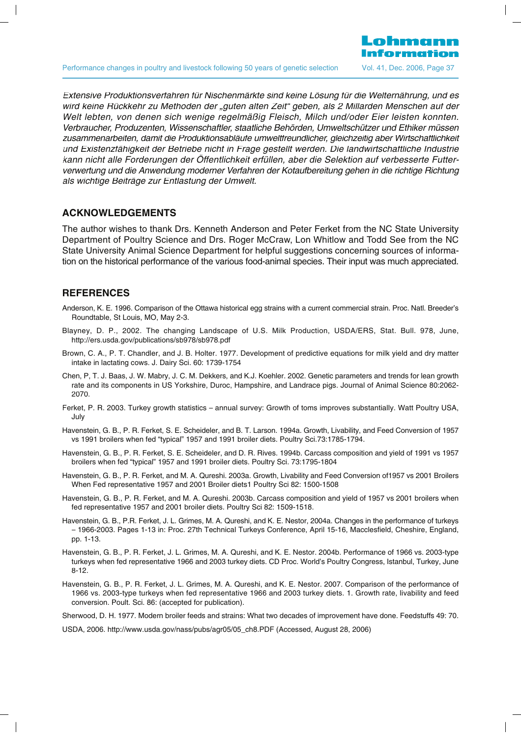

Extensive Produktionsverfahren für Nischenmärkte sind keine Lösung für die Welternährung, und es wird keine Rückkehr zu Methoden der "guten alten Zeit" geben, als 2 Millarden Menschen auf der Welt lebten, von denen sich wenige regelmäßig Fleisch, Milch und/oder Eier leisten konnten. Verbraucher, Produzenten, Wissenschaftler, staatliche Behörden, Umweltschützer und Ethiker müssen zusammenarbeiten, damit die Produktionsabläufe umweltfreundlicher, gleichzeitig aber Wirtschaftlichkeit und Existenzfähigkeit der Betriebe nicht in Frage gestellt werden. Die landwirtschaftliche Industrie kann nicht alle Forderungen der Öffentlichkeit erfüllen, aber die Selektion auf verbesserte Futterverwertung und die Anwendung moderner Verfahren der Kotaufbereitung gehen in die richtige Richtung als wichtige Beiträge zur Entlastung der Umwelt.

#### **ACKNOWLEDGEMENTS**

The author wishes to thank Drs. Kenneth Anderson and Peter Ferket from the NC State University Department of Poultry Science and Drs. Roger McCraw, Lon Whitlow and Todd See from the NC State University Animal Science Department for helpful suggestions concerning sources of information on the historical performance of the various food-animal species. Their input was much appreciated.

#### **REFERENCES**

- Anderson, K. E. 1996. Comparison of the Ottawa historical egg strains with a current commercial strain. Proc. Natl. Breeder's Roundtable, St Louis, MO, May 2-3.
- Blayney, D. P., 2002. The changing Landscape of U.S. Milk Production, USDA/ERS, Stat. Bull. 978, June, http://ers.usda.gov/publications/sb978/sb978.pdf
- Brown, C. A., P. T. Chandler, and J. B. Holter. 1977. Development of predictive equations for milk yield and dry matter intake in lactating cows. J. Dairy Sci. 60: 1739-1754
- Chen, P, T. J. Baas, J. W. Mabry, J. C. M. Dekkers, and K.J. Koehler. 2002. Genetic parameters and trends for lean growth rate and its components in US Yorkshire, Duroc, Hampshire, and Landrace pigs. Journal of Animal Science 80:2062- 2070.
- Ferket, P. R. 2003. Turkey growth statistics annual survey: Growth of toms improves substantially. Watt Poultry USA, July
- Havenstein, G. B., P. R. Ferket, S. E. Scheideler, and B. T. Larson. 1994a. Growth, Livability, and Feed Conversion of 1957 vs 1991 broilers when fed "typical" 1957 and 1991 broiler diets. Poultry Sci.73:1785-1794.
- Havenstein, G. B., P. R. Ferket, S. E. Scheideler, and D. R. Rives. 1994b. Carcass composition and yield of 1991 vs 1957 broilers when fed "typical" 1957 and 1991 broiler diets. Poultry Sci. 73:1795-1804
- Havenstein, G. B., P. R. Ferket, and M. A. Qureshi. 2003a. Growth, Livability and Feed Conversion of1957 vs 2001 Broilers When Fed representative 1957 and 2001 Broiler diets1 Poultry Sci 82: 1500-1508
- Havenstein, G. B., P. R. Ferket, and M. A. Qureshi. 2003b. Carcass composition and yield of 1957 vs 2001 broilers when fed representative 1957 and 2001 broiler diets. Poultry Sci 82: 1509-1518.
- Havenstein, G. B., P.R. Ferket, J. L. Grimes, M. A. Qureshi, and K. E. Nestor, 2004a. Changes in the performance of turkeys – 1966-2003. Pages 1-13 in: Proc. 27th Technical Turkeys Conference, April 15-16, Macclesfield, Cheshire, England, pp. 1-13.
- Havenstein, G. B., P. R. Ferket, J. L. Grimes, M. A. Qureshi, and K. E. Nestor. 2004b. Performance of 1966 vs. 2003-type turkeys when fed representative 1966 and 2003 turkey diets. CD Proc. World's Poultry Congress, Istanbul, Turkey, June 8-12.
- Havenstein, G. B., P. R. Ferket, J. L. Grimes, M. A. Qureshi, and K. E. Nestor. 2007. Comparison of the performance of 1966 vs. 2003-type turkeys when fed representative 1966 and 2003 turkey diets. 1. Growth rate, livability and feed conversion. Poult. Sci. 86: (accepted for publication).
- Sherwood, D. H. 1977. Modern broiler feeds and strains: What two decades of improvement have done. Feedstuffs 49: 70.

USDA, 2006. http://www.usda.gov/nass/pubs/agr05/05\_ch8.PDF (Accessed, August 28, 2006)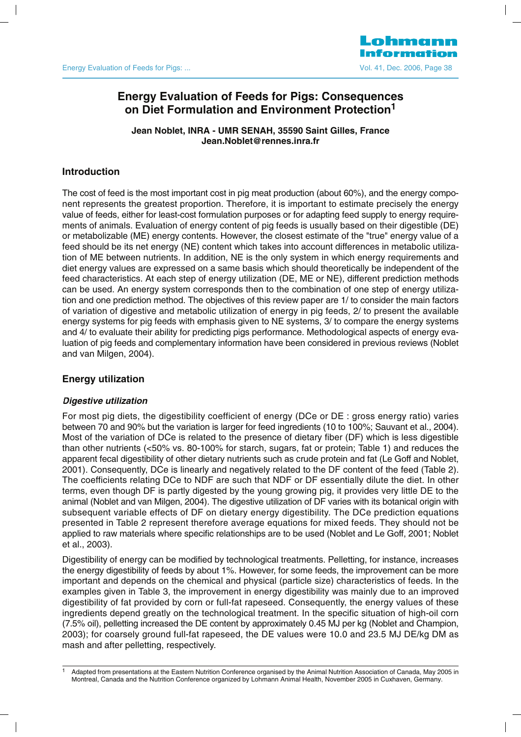# **Energy Evaluation of Feeds for Pigs: Consequences on Diet Formulation and Environment Protection1**

**Jean Noblet, INRA - UMR SENAH, 35590 Saint Gilles, France Jean.Noblet@rennes.inra.fr**

# **Introduction**

The cost of feed is the most important cost in pig meat production (about 60%), and the energy component represents the greatest proportion. Therefore, it is important to estimate precisely the energy value of feeds, either for least-cost formulation purposes or for adapting feed supply to energy requirements of animals. Evaluation of energy content of pig feeds is usually based on their digestible (DE) or metabolizable (ME) energy contents. However, the closest estimate of the "true" energy value of a feed should be its net energy (NE) content which takes into account differences in metabolic utilization of ME between nutrients. In addition, NE is the only system in which energy requirements and diet energy values are expressed on a same basis which should theoretically be independent of the feed characteristics. At each step of energy utilization (DE, ME or NE), different prediction methods can be used. An energy system corresponds then to the combination of one step of energy utilization and one prediction method. The objectives of this review paper are 1/ to consider the main factors of variation of digestive and metabolic utilization of energy in pig feeds, 2/ to present the available energy systems for pig feeds with emphasis given to NE systems, 3/ to compare the energy systems and 4/ to evaluate their ability for predicting pigs performance. Methodological aspects of energy evaluation of pig feeds and complementary information have been considered in previous reviews (Noblet and van Milgen, 2004).

# **Energy utilization**

# **Digestive utilization**

For most pig diets, the digestibility coefficient of energy (DCe or DE : gross energy ratio) varies between 70 and 90% but the variation is larger for feed ingredients (10 to 100%; Sauvant et al., 2004). Most of the variation of DCe is related to the presence of dietary fiber (DF) which is less digestible than other nutrients (<50% vs. 80-100% for starch, sugars, fat or protein; Table 1) and reduces the apparent fecal digestibility of other dietary nutrients such as crude protein and fat (Le Goff and Noblet, 2001). Consequently, DCe is linearly and negatively related to the DF content of the feed (Table 2). The coefficients relating DCe to NDF are such that NDF or DF essentially dilute the diet. In other terms, even though DF is partly digested by the young growing pig, it provides very little DE to the animal (Noblet and van Milgen, 2004). The digestive utilization of DF varies with its botanical origin with subsequent variable effects of DF on dietary energy digestibility. The DCe prediction equations presented in Table 2 represent therefore average equations for mixed feeds. They should not be applied to raw materials where specific relationships are to be used (Noblet and Le Goff, 2001; Noblet et al., 2003).

Digestibility of energy can be modified by technological treatments. Pelletting, for instance, increases the energy digestibility of feeds by about 1%. However, for some feeds, the improvement can be more important and depends on the chemical and physical (particle size) characteristics of feeds. In the examples given in Table 3, the improvement in energy digestibility was mainly due to an improved digestibility of fat provided by corn or full-fat rapeseed. Consequently, the energy values of these ingredients depend greatly on the technological treatment. In the specific situation of high-oil corn (7.5% oil), pelletting increased the DE content by approximately 0.45 MJ per kg (Noblet and Champion, 2003); for coarsely ground full-fat rapeseed, the DE values were 10.0 and 23.5 MJ DE/kg DM as mash and after pelletting, respectively.

<sup>1</sup> Adapted from presentations at the Eastern Nutrition Conference organised by the Animal Nutrition Association of Canada, May 2005 in Montreal, Canada and the Nutrition Conference organized by Lohmann Animal Health, November 2005 in Cuxhaven, Germany.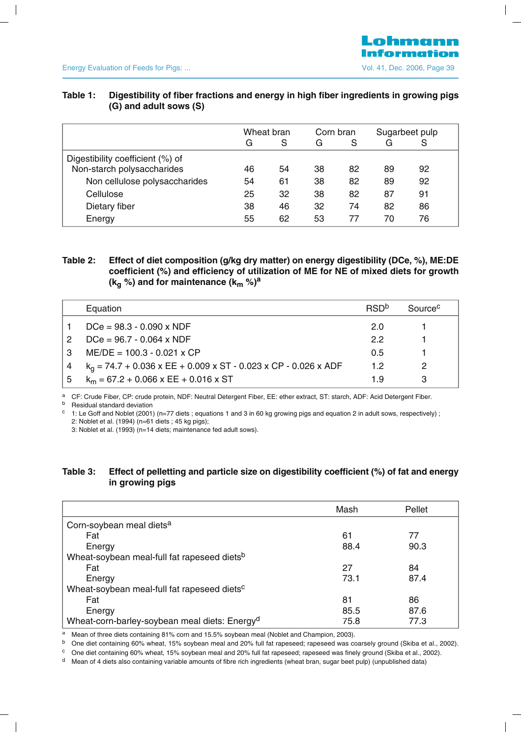| رت ( diju duull suws)            |            |    |           |    |                |    |
|----------------------------------|------------|----|-----------|----|----------------|----|
|                                  | Wheat bran |    | Corn bran |    | Sugarbeet pulp |    |
|                                  | G          | S  | G         | S  | G              | S  |
| Digestibility coefficient (%) of |            |    |           |    |                |    |
| Non-starch polysaccharides       | 46         | 54 | 38        | 82 | 89             | 92 |
| Non cellulose polysaccharides    | 54         | 61 | 38        | 82 | 89             | 92 |
| Cellulose                        | 25         | 32 | 38        | 82 | 87             | 91 |
| Dietary fiber                    | 38         | 46 | 32        | 74 | 82             | 86 |
| Energy                           | 55         | 62 | 53        | 77 | 70             | 76 |

# **T bl Di ibili f fib f i d i hi h fib i di i i i Table 1: Digestibility of fiber fractions and energy in high fiber ingredients in growing pigs (G) and adult sows (S)**

# **Table 2: Effect of diet composition (g/kg dry matter) on energy digestibility (DCe, %), ME:DE coefficient (%) and efficiency of utilization of ME for NE of mixed diets for growth**  $(k_{\alpha} %$ ) and for maintenance  $(k_{\alpha} %$

|   | Equation                                                          | <b>RSD</b> <sup>b</sup> | Source <sup>c</sup> |
|---|-------------------------------------------------------------------|-------------------------|---------------------|
|   | $DCe = 98.3 - 0.090 \times NDF$                                   | 20                      |                     |
| 2 | $DCe = 96.7 - 0.064 \times NDF$                                   | 22                      |                     |
| 3 | $ME/DE = 100.3 - 0.021$ x CP                                      | 0.5                     |                     |
|   | $k_q$ = 74.7 + 0.036 x EE + 0.009 x ST - 0.023 x CP - 0.026 x ADF | 12                      | 2                   |
| 5 | $k_m = 67.2 + 0.066$ x EE + 0.016 x ST                            | 19                      |                     |

a CF: Crude Fiber, CP: crude protein, NDF: Neutral Detergent Fiber, EE: ether extract, ST: starch, ADF: Acid Detergent Fiber.

 $b$  Residual standard deviation<br> $c$   $1 \cdot 1$  e Goff and Noblet (2001)

<sup>c</sup> 1: Le Goff and Noblet (2001) (n=77 diets ; equations 1 and 3 in 60 kg growing pigs and equation 2 in adult sows, respectively) ; 2: Noblet et al. (1994) (n=61 diets ; 45 kg pigs);

3: Noblet et al. (1993) (n=14 diets; maintenance fed adult sows).

# **Table 3: Effect of pelletting and particle size on digestibility coefficient (%) of fat and energy in growing pigs**

|                                                           | Mash | Pellet |
|-----------------------------------------------------------|------|--------|
| Corn-soybean meal diets <sup>a</sup>                      |      |        |
| Fat                                                       | 61   | 77     |
| Energy                                                    | 88.4 | 90.3   |
| Wheat-soybean meal-full fat rapeseed diets <sup>b</sup>   |      |        |
| Fat                                                       | 27   | 84     |
| Energy                                                    | 73.1 | 87.4   |
| Wheat-soybean meal-full fat rapeseed diets <sup>c</sup>   |      |        |
| Fat                                                       | 81   | 86     |
| Energy                                                    | 85.5 | 87.6   |
| Wheat-corn-barley-soybean meal diets: Energy <sup>d</sup> | 75.8 | 77.3   |

a Mean of three diets containing 81% corn and 15.5% soybean meal (Noblet and Champion, 2003).

<sup>b</sup> One diet containing 60% wheat, 15% soybean meal and 20% full fat rapeseed; rapeseed was coarsely ground (Skiba et al., 2002).

<sup>c</sup> One diet containing 60% wheat, 15% soybean meal and 20% full fat rapeseed; rapeseed was finely ground (Skiba et al., 2002).

<sup>d</sup> Mean of 4 diets also containing variable amounts of fibre rich ingredients (wheat bran, sugar beet pulp) (unpublished data)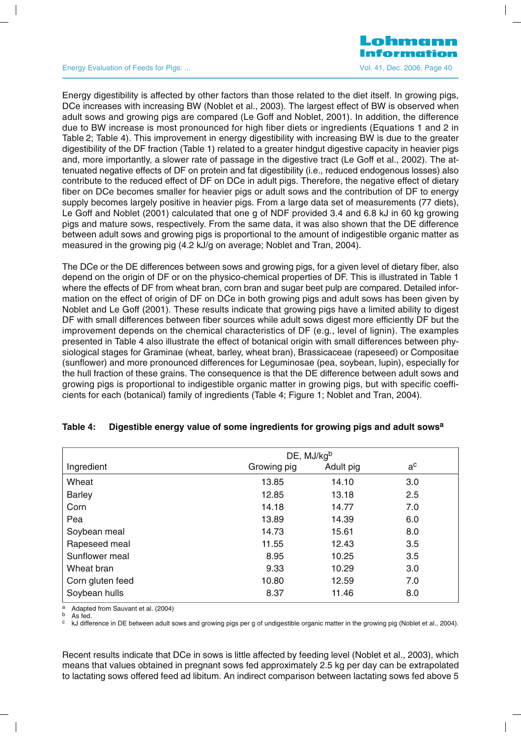#### Energy Evaluation of Feeds for Pigs: ... Change 10 and the Contract of Pigs: Note 1, Dec. 2006, Page 40

Lohmann

Energy digestibility is affected by other factors than those related to the diet itself. In growing pigs, DCe increases with increasing BW (Noblet et al., 2003). The largest effect of BW is observed when adult sows and growing pigs are compared (Le Goff and Noblet, 2001). In addition, the difference due to BW increase is most pronounced for high fiber diets or ingredients (Equations 1 and 2 in Table 2; Table 4). This improvement in energy digestibility with increasing BW is due to the greater digestibility of the DF fraction (Table 1) related to a greater hindgut digestive capacity in heavier pigs and, more importantly, a slower rate of passage in the digestive tract (Le Goff et al., 2002). The attenuated negative effects of DF on protein and fat digestibility (i.e., reduced endogenous losses) also contribute to the reduced effect of DF on DCe in adult pigs. Therefore, the negative effect of dietary fiber on DCe becomes smaller for heavier pigs or adult sows and the contribution of DF to energy supply becomes largely positive in heavier pigs. From a large data set of measurements (77 diets), Le Goff and Noblet (2001) calculated that one g of NDF provided 3.4 and 6.8 kJ in 60 kg growing pigs and mature sows, respectively. From the same data, it was also shown that the DE difference between adult sows and growing pigs is proportional to the amount of indigestible organic matter as measured in the growing pig (4.2 kJ/g on average; Noblet and Tran, 2004).

The DCe or the DE differences between sows and growing pigs, for a given level of dietary fiber, also depend on the origin of DF or on the physico-chemical properties of DF. This is illustrated in Table 1 where the effects of DF from wheat bran, corn bran and sugar beet pulp are compared. Detailed information on the effect of origin of DF on DCe in both growing pigs and adult sows has been given by Noblet and Le Goff (2001). These results indicate that growing pigs have a limited ability to digest DF with small differences between fiber sources while adult sows digest more efficiently DF but the improvement depends on the chemical characteristics of DF (e.g., level of lignin). The examples presented in Table 4 also illustrate the effect of botanical origin with small differences between physiological stages for Graminae (wheat, barley, wheat bran), Brassicaceae (rapeseed) or Compositae (sunflower) and more pronounced differences for Leguminosae (pea, soybean, lupin), especially for the hull fraction of these grains. The consequence is that the DE difference between adult sows and growing pigs is proportional to indigestible organic matter in growing pigs, but with specific coefficients for each (botanical) family of ingredients (Table 4; Figure 1; Noblet and Tran, 2004).

|                  | DE, MJ/kgb  |           |       |  |  |  |
|------------------|-------------|-----------|-------|--|--|--|
| Ingredient       | Growing pig | Adult pig | $a^c$ |  |  |  |
| Wheat            | 13.85       | 14.10     | 3.0   |  |  |  |
| <b>Barley</b>    | 12.85       | 13.18     | 2.5   |  |  |  |
| Corn             | 14.18       | 14.77     | 7.0   |  |  |  |
| Pea              | 13.89       | 14.39     | 6.0   |  |  |  |
| Soybean meal     | 14.73       | 15.61     | 8.0   |  |  |  |
| Rapeseed meal    | 11.55       | 12.43     | 3.5   |  |  |  |
| Sunflower meal   | 8.95        | 10.25     | 3.5   |  |  |  |
| Wheat bran       | 9.33        | 10.29     | 3.0   |  |  |  |
| Corn gluten feed | 10.80       | 12.59     | 7.0   |  |  |  |
| Soybean hulls    | 8.37        | 11.46     | 8.0   |  |  |  |

#### **Table 4: Digestible energy value of some ingredients for growing pigs and adult sowsa**

a Adapted from Sauvant et al. (2004)<br>b As fed.<br><sup>c</sup> kJ difference in DE between adult sows and growing pigs per g of undigestible organic matter in the growing pig (Noblet et al., 2004).

Recent results indicate that DCe in sows is little affected by feeding level (Noblet et al., 2003), which means that values obtained in pregnant sows fed approximately 2.5 kg per day can be extrapolated to lactating sows offered feed ad libitum. An indirect comparison between lactating sows fed above 5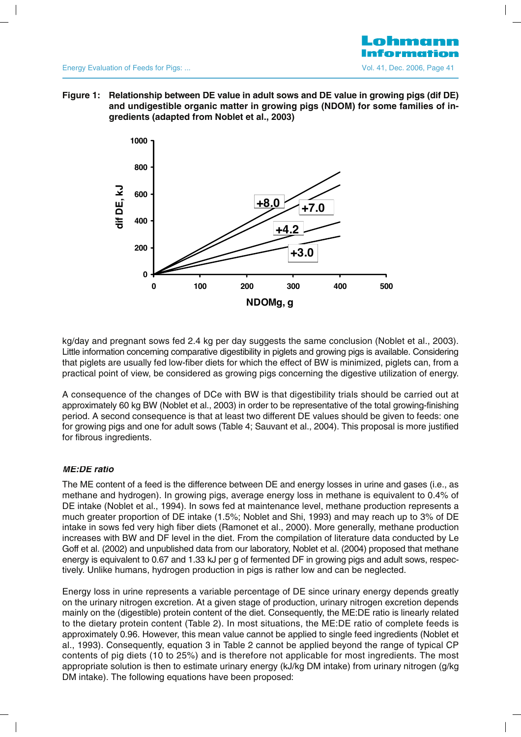#### Energy g Evaluation of Feeds for Pigs: ... Vol. 41, Dec. 2006, Page 41

**Figure 1:** Relationship between DE value in adult sows and DE value in growing pigs (dif DE) **and undigestible organic matter in growing pigs (NDOM) for some families of ingredients (adapted from Noblet et al., 2003)**



kg/day and pregnant sows fed 2.4 kg per day suggests the same conclusion (Noblet et al., 2003). Little information concerning comparative digestibility in piglets and growing pigs is available. Considering that piglets are usually fed low-fiber diets for which the effect of BW is minimized, piglets can, from a practical point of view, be considered as growing pigs concerning the digestive utilization of energy.

A consequence of the changes of DCe with BW is that digestibility trials should be carried out at approximately 60 kg BW (Noblet et al., 2003) in order to be representative of the total growing-finishing period. A second consequence is that at least two different DE values should be given to feeds: one for growing pigs and one for adult sows (Table 4; Sauvant et al., 2004). This proposal is more justified for fibrous ingredients.

# **ME:DE ratio**

The ME content of a feed is the difference between DE and energy losses in urine and gases (i.e., as methane and hydrogen). In growing pigs, average energy loss in methane is equivalent to 0.4% of DE intake (Noblet et al., 1994). In sows fed at maintenance level, methane production represents a much greater proportion of DE intake (1.5%; Noblet and Shi, 1993) and may reach up to 3% of DE intake in sows fed very high fiber diets (Ramonet et al., 2000). More generally, methane production increases with BW and DF level in the diet. From the compilation of literature data conducted by Le Goff et al. (2002) and unpublished data from our laboratory, Noblet et al. (2004) proposed that methane energy is equivalent to 0.67 and 1.33 kJ per g of fermented DF in growing pigs and adult sows, respectively. Unlike humans, hydrogen production in pigs is rather low and can be neglected.

Energy loss in urine represents a variable percentage of DE since urinary energy depends greatly on the urinary nitrogen excretion. At a given stage of production, urinary nitrogen excretion depends mainly on the (digestible) protein content of the diet. Consequently, the ME:DE ratio is linearly related to the dietary protein content (Table 2). In most situations, the ME:DE ratio of complete feeds is approximately 0.96. However, this mean value cannot be applied to single feed ingredients (Noblet et al., 1993). Consequently, equation 3 in Table 2 cannot be applied beyond the range of typical CP contents of pig diets (10 to 25%) and is therefore not applicable for most ingredients. The most appropriate solution is then to estimate urinary energy (kJ/kg DM intake) from urinary nitrogen (g/kg DM intake). The following equations have been proposed: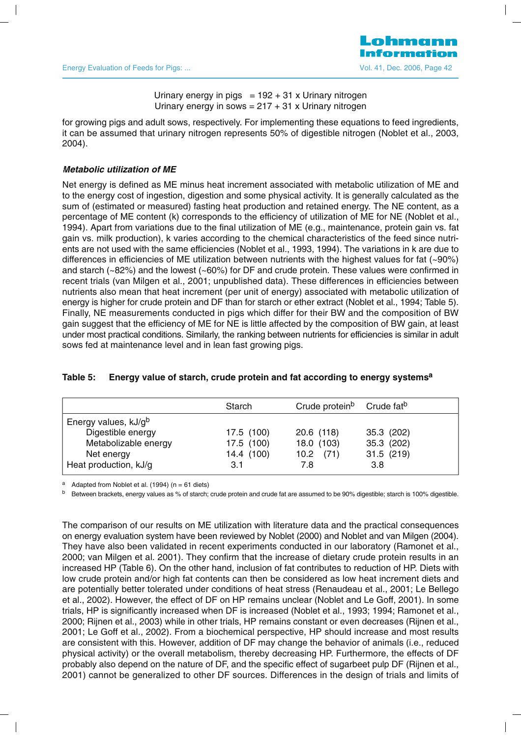Urinary energy in pigs  $= 192 + 31$  x Urinary nitrogen Urinary energy in sows =  $217 + 31$  x Urinary nitrogen

for growing pigs and adult sows, respectively. For implementing these equations to feed ingredients, it can be assumed that urinary nitrogen represents 50% of digestible nitrogen (Noblet et al., 2003, 2004).

#### **Metabolic utilization of ME**

Net energy is defined as ME minus heat increment associated with metabolic utilization of ME and to the energy cost of ingestion, digestion and some physical activity. It is generally calculated as the sum of (estimated or measured) fasting heat production and retained energy. The NE content, as a percentage of ME content (k) corresponds to the efficiency of utilization of ME for NE (Noblet et al., 1994). Apart from variations due to the final utilization of ME (e.g., maintenance, protein gain vs. fat gain vs. milk production), k varies according to the chemical characteristics of the feed since nutrients are not used with the same efficiencies (Noblet et al., 1993, 1994). The variations in k are due to differences in efficiencies of ME utilization between nutrients with the highest values for fat (~90%) and starch (~82%) and the lowest (~60%) for DF and crude protein. These values were confirmed in recent trials (van Milgen et al., 2001; unpublished data). These differences in efficiencies between nutrients also mean that heat increment (per unit of energy) associated with metabolic utilization of energy is higher for crude protein and DF than for starch or ether extract (Noblet et al., 1994; Table 5). Finally, NE measurements conducted in pigs which differ for their BW and the composition of BW gain suggest that the efficiency of ME for NE is little affected by the composition of BW gain, at least under most practical conditions. Similarly, the ranking between nutrients for efficiencies is similar in adult sows fed at maintenance level and in lean fast growing pigs.

|                                  | Starch     | Crude protein <sup>b</sup> Crude fat <sup>b</sup> |            |
|----------------------------------|------------|---------------------------------------------------|------------|
| Energy values, kJ/g <sup>b</sup> |            |                                                   |            |
| Digestible energy                | 17.5 (100) | $20.6$ (118)                                      | 35.3 (202) |
| Metabolizable energy             | 17.5 (100) | 18.0 (103)                                        | 35.3 (202) |
| Net energy                       | 14.4 (100) | $10.2$ (71)                                       | 31.5(219)  |
| Heat production, kJ/g            | 3.1        | 7.8                                               | 3.8        |

#### **Table 5: Energy value of starch, crude protein and fat according to energy systemsa**

a Adapted from Noblet et al.  $(1994)$  (n = 61 diets)

<sup>b</sup> Between brackets, energy values as % of starch; crude protein and crude fat are assumed to be 90% digestible; starch is 100% digestible.

The comparison of our results on ME utilization with literature data and the practical consequences on energy evaluation system have been reviewed by Noblet (2000) and Noblet and van Milgen (2004). They have also been validated in recent experiments conducted in our laboratory (Ramonet et al., 2000; van Milgen et al. 2001). They confirm that the increase of dietary crude protein results in an increased HP (Table 6). On the other hand, inclusion of fat contributes to reduction of HP. Diets with low crude protein and/or high fat contents can then be considered as low heat increment diets and are potentially better tolerated under conditions of heat stress (Renaudeau et al., 2001; Le Bellego et al., 2002). However, the effect of DF on HP remains unclear (Noblet and Le Goff, 2001). In some trials, HP is significantly increased when DF is increased (Noblet et al., 1993; 1994; Ramonet et al., 2000; Rijnen et al., 2003) while in other trials, HP remains constant or even decreases (Rijnen et al., 2001; Le Goff et al., 2002). From a biochemical perspective, HP should increase and most results are consistent with this. However, addition of DF may change the behavior of animals (i.e., reduced physical activity) or the overall metabolism, thereby decreasing HP. Furthermore, the effects of DF probably also depend on the nature of DF, and the specific effect of sugarbeet pulp DF (Rijnen et al., 2001) cannot be generalized to other DF sources. Differences in the design of trials and limits of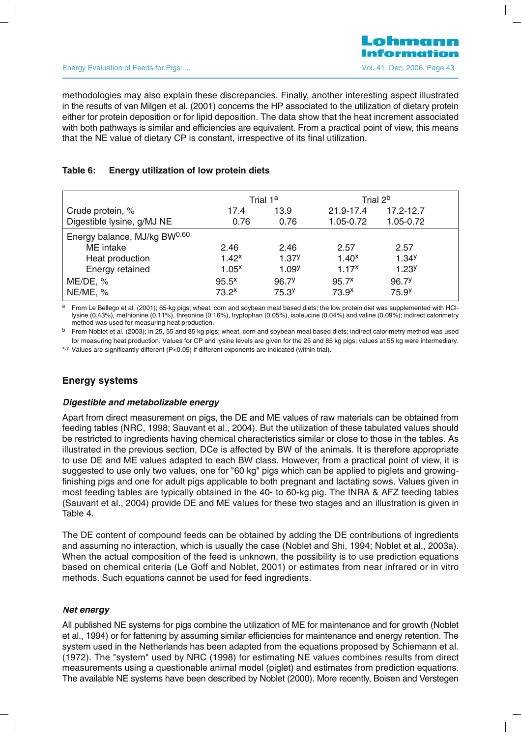methodologies may also explain these discrepancies. Finally, another interesting aspect illustrated in the results of van Milgen et al. (2001) concerns the HP associated to the utilization of dietary protein either for protein deposition or for lipid deposition. The data show that the heat increment associated with both pathways is similar and efficiencies are equivalent. From a practical point of view, this means that the NE value of dietary CP is constant, irrespective of its final utilization.

# **Table 6: Energy utilization of low protein diets**

|                              | Trial 1 <sup>a</sup> |                   | Trial 2 <sup>b</sup> |                   |  |
|------------------------------|----------------------|-------------------|----------------------|-------------------|--|
| Crude protein, %             | 17.4                 | 13.9              | 21.9-17.4            | 17.2-12.7         |  |
| Digestible lysine, g/MJ NE   | 0.76                 | 0.76              | 1.05-0.72            | 1.05-0.72         |  |
| Energy balance, MJ/kg BW0.60 |                      |                   |                      |                   |  |
| ME intake                    | 2.46                 | 2.46              | 2.57                 | 2.57              |  |
| Heat production              | $1.42^{x}$           | 1.37 <sup>y</sup> | 1.40 <sup>x</sup>    | 1.34 <sup>y</sup> |  |
| Energy retained              | 1.05 <sup>x</sup>    | 1.09 <sup>y</sup> | $1.17^{x}$           | 1.23 <sup>y</sup> |  |
| ME/DE, %                     | $95.5^x$             | 96.7 <sup>y</sup> | 95.7 <sup>x</sup>    | 96.7 <sup>y</sup> |  |
| NE/ME, %                     | $73.2^x$             | 75.3 <sup>y</sup> | 73.9 <sup>x</sup>    | 75.9 <sup>y</sup> |  |

a From Le Bellego et al. (2001); 65-kg pigs; wheat, corn and soybean meal based diets; the low protein diet was supplemented with HCllysine (0.43%), methionine (0.11%), threonine (0.16%), tryptophan (0.05%), isoleucine (0.04%) and valine (0.09%); indirect calorimetry method was used for measuring heat production.

 $<sup>b</sup>$  From Noblet et al. (2003); in 25, 55 and 85 kg pigs; wheat, corn and soybean meal based diets; indirect calorimetry method was used</sup> for measuring heat production. Values for CP and lysine levels are given for the 25 and 85 kg pigs; values at 55 kg were intermediary. x,y Values are significantly different (P<0.05) if different exponents are indicated (within trial).

# **Energy systems**

#### **Digestible and metabolizable energy**

Apart from direct measurement on pigs, the DE and ME values of raw materials can be obtained from feeding tables (NRC, 1998; Sauvant et al., 2004). But the utilization of these tabulated values should be restricted to ingredients having chemical characteristics similar or close to those in the tables. As illustrated in the previous section, DCe is affected by BW of the animals. It is therefore appropriate to use DE and ME values adapted to each BW class. However, from a practical point of view, it is suggested to use only two values, one for "60 kg" pigs which can be applied to piglets and growingfinishing pigs and one for adult pigs applicable to both pregnant and lactating sows. Values given in most feeding tables are typically obtained in the 40- to 60-kg pig. The INRA & AFZ feeding tables (Sauvant et al., 2004) provide DE and ME values for these two stages and an illustration is given in Table 4.

The DE content of compound feeds can be obtained by adding the DE contributions of ingredients and assuming no interaction, which is usually the case (Noblet and Shi, 1994; Noblet et al., 2003a). When the actual composition of the feed is unknown, the possibility is to use prediction equations based on chemical criteria (Le Goff and Noblet, 2001) or estimates from near infrared or in vitro methods. Such equations cannot be used for feed ingredients.

# **Net energy**

All published NE systems for pigs combine the utilization of ME for maintenance and for growth (Noblet et al., 1994) or for fattening by assuming similar efficiencies for maintenance and energy retention. The system used in the Netherlands has been adapted from the equations proposed by Schiemann et al. (1972). The "system" used by NRC (1998) for estimating NE values combines results from direct measurements using a questionable animal model (piglet) and estimates from prediction equations. The available NE systems have been described by Noblet (2000). More recently, Boisen and Verstegen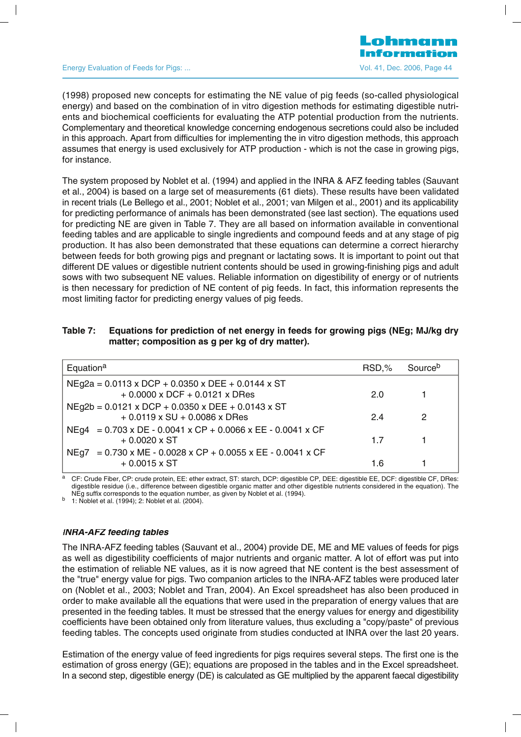Energy Evaluation of Feeds for Pigs: ... Change 14 and 2008, Page 44 and 2006, Page 44 and 2006, Page 44

(1998) proposed new concepts for estimating the NE value of pig feeds (so-called physiological energy) and based on the combination of in vitro digestion methods for estimating digestible nutrients and biochemical coefficients for evaluating the ATP potential production from the nutrients. Complementary and theoretical knowledge concerning endogenous secretions could also be included in this approach. Apart from difficulties for implementing the in vitro digestion methods, this approach assumes that energy is used exclusively for ATP production - which is not the case in growing pigs, for instance.

The system proposed by Noblet et al. (1994) and applied in the INRA & AFZ feeding tables (Sauvant et al., 2004) is based on a large set of measurements (61 diets). These results have been validated in recent trials (Le Bellego et al., 2001; Noblet et al., 2001; van Milgen et al., 2001) and its applicability for predicting performance of animals has been demonstrated (see last section). The equations used for predicting NE are given in Table 7. They are all based on information available in conventional feeding tables and are applicable to single ingredients and compound feeds and at any stage of pig production. It has also been demonstrated that these equations can determine a correct hierarchy between feeds for both growing pigs and pregnant or lactating sows. It is important to point out that different DE values or digestible nutrient contents should be used in growing-finishing pigs and adult sows with two subsequent NE values. Reliable information on digestibility of energy or of nutrients is then necessary for prediction of NE content of pig feeds. In fact, this information represents the most limiting factor for predicting energy values of pig feeds.

| Table 7: | Equations for prediction of net energy in feeds for growing pigs (NEg; MJ/kg dry |
|----------|----------------------------------------------------------------------------------|
|          | matter; composition as g per kg of dry matter).                                  |

| Equation <sup>a</sup>                                                                                    | RSD,% | Source <sup>b</sup> |
|----------------------------------------------------------------------------------------------------------|-------|---------------------|
| $N$ Eg2a = 0.0113 x DCP + 0.0350 x DEE + 0.0144 x ST<br>$+0.0000$ x DCF $+0.0121$ x DRes                 | 20    |                     |
| $N$ Eg2b = 0.0121 x DCP + 0.0350 x DEE + 0.0143 x ST<br>$+0.0119 \times SU + 0.0086 \times DRes$         | 24    | 2                   |
| NEg4 = $0.703 \times DE - 0.0041 \times CP + 0.0066 \times EE - 0.0041 \times CF$<br>$+0.0020 \times ST$ | 17    |                     |
| $= 0.730$ x ME - 0.0028 x CP + 0.0055 x EE - 0.0041 x CF<br>NEa7<br>$+0.0015 \times ST$                  | 1.6   |                     |

<sup>a</sup> CF: Crude Fiber, CP: crude protein, EE: ether extract, ST: starch, DCP: digestible CP, DEE: digestible EE, DCF: digestible CF, DRes: digestible residue (i.e., difference between digestible organic matter and other digestible nutrients considered in the equation). The NEg suffix corresponds to the equation number, as given by Noblet et al. (1994). b 1: Noblet et al. (1994); 2: Noblet et al. (2004).

#### **INRA-AFZ feeding tables**

The INRA-AFZ feeding tables (Sauvant et al., 2004) provide DE, ME and ME values of feeds for pigs as well as digestibility coefficients of major nutrients and organic matter. A lot of effort was put into the estimation of reliable NE values, as it is now agreed that NE content is the best assessment of the "true" energy value for pigs. Two companion articles to the INRA-AFZ tables were produced later on (Noblet et al., 2003; Noblet and Tran, 2004). An Excel spreadsheet has also been produced in order to make available all the equations that were used in the preparation of energy values that are presented in the feeding tables. It must be stressed that the energy values for energy and digestibility coefficients have been obtained only from literature values, thus excluding a "copy/paste" of previous feeding tables. The concepts used originate from studies conducted at INRA over the last 20 years.

Estimation of the energy value of feed ingredients for pigs requires several steps. The first one is the estimation of gross energy (GE); equations are proposed in the tables and in the Excel spreadsheet. In a second step, digestible energy (DE) is calculated as GE multiplied by the apparent faecal digestibility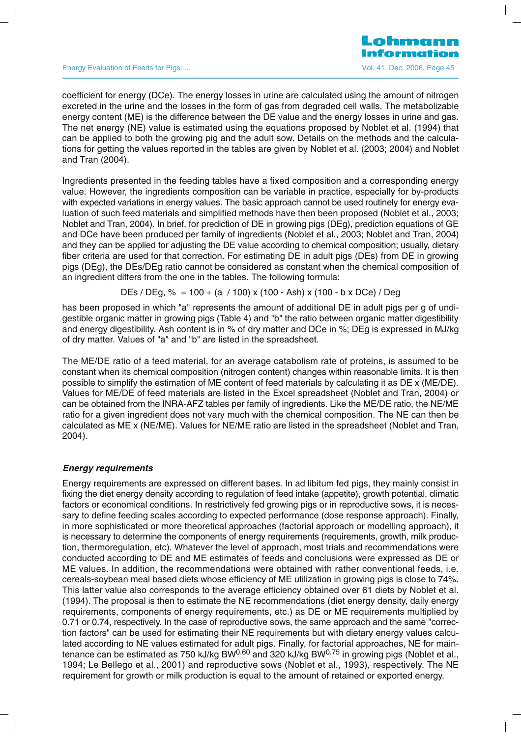Energy Evaluation of Feeds for Pigs: ... Change 1998 and Contract Contract Contract Contract Contract Contract Contract Contract Contract Contract Contract Contract Contract Contract Contract Contract Contract Contract Con

coefficient for energy (DCe). The energy losses in urine are calculated using the amount of nitrogen excreted in the urine and the losses in the form of gas from degraded cell walls. The metabolizable energy content (ME) is the difference between the DE value and the energy losses in urine and gas. The net energy (NE) value is estimated using the equations proposed by Noblet et al. (1994) that can be applied to both the growing pig and the adult sow. Details on the methods and the calculations for getting the values reported in the tables are given by Noblet et al. (2003; 2004) and Noblet and Tran (2004).

Ingredients presented in the feeding tables have a fixed composition and a corresponding energy value. However, the ingredients composition can be variable in practice, especially for by-products with expected variations in energy values. The basic approach cannot be used routinely for energy evaluation of such feed materials and simplified methods have then been proposed (Noblet et al., 2003; Noblet and Tran, 2004). In brief, for prediction of DE in growing pigs (DEg), prediction equations of GE and DCe have been produced per family of ingredients (Noblet et al., 2003; Noblet and Tran, 2004) and they can be applied for adjusting the DE value according to chemical composition; usually, dietary fiber criteria are used for that correction. For estimating DE in adult pigs (DEs) from DE in growing pigs (DEg), the DEs/DEg ratio cannot be considered as constant when the chemical composition of an ingredient differs from the one in the tables. The following formula:

DEs / DEg,  $% = 100 + (a / 100)$  x (100 - Ash) x (100 - b x DCe) / Deg

has been proposed in which "a" represents the amount of additional DE in adult pigs per g of undigestible organic matter in growing pigs (Table 4) and "b" the ratio between organic matter digestibility and energy digestibility. Ash content is in % of dry matter and DCe in %; DEg is expressed in MJ/kg of dry matter. Values of "a" and "b" are listed in the spreadsheet.

The ME/DE ratio of a feed material, for an average catabolism rate of proteins, is assumed to be constant when its chemical composition (nitrogen content) changes within reasonable limits. It is then possible to simplify the estimation of ME content of feed materials by calculating it as DE x (ME/DE). Values for ME/DE of feed materials are listed in the Excel spreadsheet (Noblet and Tran, 2004) or can be obtained from the INRA-AFZ tables per family of ingredients. Like the ME/DE ratio, the NE/ME ratio for a given ingredient does not vary much with the chemical composition. The NE can then be calculated as ME x (NE/ME). Values for NE/ME ratio are listed in the spreadsheet (Noblet and Tran, 2004).

# **Energy requirements**

Energy requirements are expressed on different bases. In ad libitum fed pigs, they mainly consist in fixing the diet energy density according to regulation of feed intake (appetite), growth potential, climatic factors or economical conditions. In restrictively fed growing pigs or in reproductive sows, it is necessary to define feeding scales according to expected performance (dose response approach). Finally, in more sophisticated or more theoretical approaches (factorial approach or modelling approach), it is necessary to determine the components of energy requirements (requirements, growth, milk production, thermoregulation, etc). Whatever the level of approach, most trials and recommendations were conducted according to DE and ME estimates of feeds and conclusions were expressed as DE or ME values. In addition, the recommendations were obtained with rather conventional feeds, i.e. cereals-soybean meal based diets whose efficiency of ME utilization in growing pigs is close to 74%. This latter value also corresponds to the average efficiency obtained over 61 diets by Noblet et al. (1994). The proposal is then to estimate the NE recommendations (diet energy density, daily energy requirements, components of energy requirements, etc.) as DE or ME requirements multiplied by 0.71 or 0.74, respectively. In the case of reproductive sows, the same approach and the same "correction factors" can be used for estimating their NE requirements but with dietary energy values calculated according to NE values estimated for adult pigs. Finally, for factorial approaches, NE for maintenance can be estimated as 750 kJ/kg BW $^{0.60}$  and 320 kJ/kg BW $^{0.75}$  in growing pigs (Noblet et al., 1994; Le Bellego et al., 2001) and reproductive sows (Noblet et al., 1993), respectively. The NE requirement for growth or milk production is equal to the amount of retained or exported energy.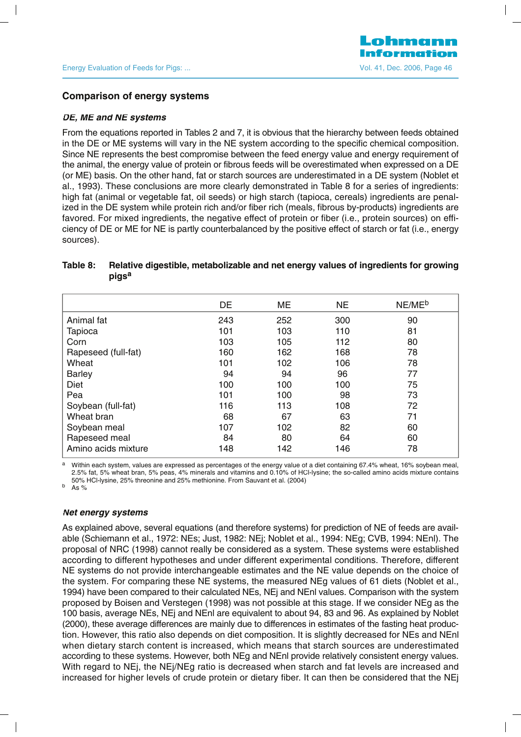#### **Comparison of energy systems**

#### **DE, ME and NE systems**

From the equations reported in Tables 2 and 7, it is obvious that the hierarchy between feeds obtained in the DE or ME systems will vary in the NE system according to the specific chemical composition. Since NE represents the best compromise between the feed energy value and energy requirement of the animal, the energy value of protein or fibrous feeds will be overestimated when expressed on a DE (or ME) basis. On the other hand, fat or starch sources are underestimated in a DE system (Noblet et al., 1993). These conclusions are more clearly demonstrated in Table 8 for a series of ingredients: high fat (animal or vegetable fat, oil seeds) or high starch (tapioca, cereals) ingredients are penalized in the DE system while protein rich and/or fiber rich (meals, fibrous by-products) ingredients are favored. For mixed ingredients, the negative effect of protein or fiber (i.e., protein sources) on efficiency of DE or ME for NE is partly counterbalanced by the positive effect of starch or fat (i.e., energy sources).

# **Table 8: Relative digestible, metabolizable and net energy values of ingredients for growing pigsa**

|                     | DE  | ME  | <b>NE</b> | NE/ME <sup>b</sup> |
|---------------------|-----|-----|-----------|--------------------|
| Animal fat          | 243 | 252 | 300       | 90                 |
| Tapioca             | 101 | 103 | 110       | 81                 |
| Corn                | 103 | 105 | 112       | 80                 |
| Rapeseed (full-fat) | 160 | 162 | 168       | 78                 |
| Wheat               | 101 | 102 | 106       | 78                 |
| <b>Barley</b>       | 94  | 94  | 96        | 77                 |
| Diet                | 100 | 100 | 100       | 75                 |
| Pea                 | 101 | 100 | 98        | 73                 |
| Soybean (full-fat)  | 116 | 113 | 108       | 72                 |
| Wheat bran          | 68  | 67  | 63        | 71                 |
| Soybean meal        | 107 | 102 | 82        | 60                 |
| Rapeseed meal       | 84  | 80  | 64        | 60                 |
| Amino acids mixture | 148 | 142 | 146       | 78                 |

a Within each system, values are expressed as percentages of the energy value of a diet containing 67.4% wheat, 16% soybean meal, 2.5% fat, 5% wheat bran, 5% peas, 4% minerals and vitamins and 0.10% of HCl-lysine; the so-called amino acids mixture contains 50% HCl-lysine, 25% threonine and 25% methionine. From Sauvant et al. (2004) <sup>b</sup> As %

#### **Net energy systems**

As explained above, several equations (and therefore systems) for prediction of NE of feeds are available (Schiemann et al., 1972: NEs; Just, 1982: NEj; Noblet et al., 1994: NEg; CVB, 1994: NEnl). The proposal of NRC (1998) cannot really be considered as a system. These systems were established according to different hypotheses and under different experimental conditions. Therefore, different NE systems do not provide interchangeable estimates and the NE value depends on the choice of the system. For comparing these NE systems, the measured NEg values of 61 diets (Noblet et al., 1994) have been compared to their calculated NEs, NEj and NEnl values. Comparison with the system proposed by Boisen and Verstegen (1998) was not possible at this stage. If we consider NEg as the 100 basis, average NEs, NEj and NEnl are equivalent to about 94, 83 and 96. As explained by Noblet (2000), these average differences are mainly due to differences in estimates of the fasting heat production. However, this ratio also depends on diet composition. It is slightly decreased for NEs and NEnl when dietary starch content is increased, which means that starch sources are underestimated according to these systems. However, both NEg and NEnl provide relatively consistent energy values. With regard to NEj, the NEj/NEg ratio is decreased when starch and fat levels are increased and increased for higher levels of crude protein or dietary fiber. It can then be considered that the NEj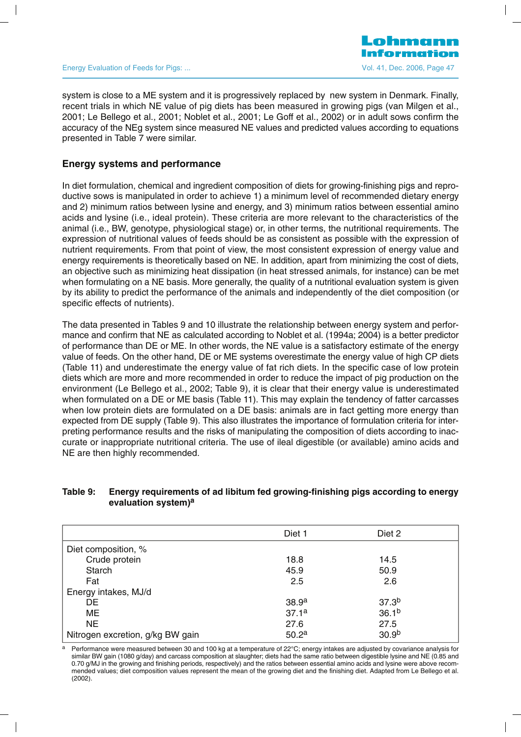Energy Evaluation of Feeds for Pigs: ... Change 17 (2006) 1996 12:3006, Page 47

system is close to a ME system and it is progressively replaced by new system in Denmark. Finally, recent trials in which NE value of pig diets has been measured in growing pigs (van Milgen et al., 2001; Le Bellego et al., 2001; Noblet et al., 2001; Le Goff et al., 2002) or in adult sows confirm the accuracy of the NEg system since measured NE values and predicted values according to equations presented in Table 7 were similar.

# **Energy systems and performance**

In diet formulation, chemical and ingredient composition of diets for growing-finishing pigs and reproductive sows is manipulated in order to achieve 1) a minimum level of recommended dietary energy and 2) minimum ratios between lysine and energy, and 3) minimum ratios between essential amino acids and lysine (i.e., ideal protein). These criteria are more relevant to the characteristics of the animal (i.e., BW, genotype, physiological stage) or, in other terms, the nutritional requirements. The expression of nutritional values of feeds should be as consistent as possible with the expression of nutrient requirements. From that point of view, the most consistent expression of energy value and energy requirements is theoretically based on NE. In addition, apart from minimizing the cost of diets, an objective such as minimizing heat dissipation (in heat stressed animals, for instance) can be met when formulating on a NE basis. More generally, the quality of a nutritional evaluation system is given by its ability to predict the performance of the animals and independently of the diet composition (or specific effects of nutrients).

The data presented in Tables 9 and 10 illustrate the relationship between energy system and performance and confirm that NE as calculated according to Noblet et al. (1994a; 2004) is a better predictor of performance than DE or ME. In other words, the NE value is a satisfactory estimate of the energy value of feeds. On the other hand, DE or ME systems overestimate the energy value of high CP diets (Table 11) and underestimate the energy value of fat rich diets. In the specific case of low protein diets which are more and more recommended in order to reduce the impact of pig production on the environment (Le Bellego et al., 2002; Table 9), it is clear that their energy value is underestimated when formulated on a DE or ME basis (Table 11). This may explain the tendency of fatter carcasses when low protein diets are formulated on a DE basis: animals are in fact getting more energy than expected from DE supply (Table 9). This also illustrates the importance of formulation criteria for interpreting performance results and the risks of manipulating the composition of diets according to inaccurate or inappropriate nutritional criteria. The use of ileal digestible (or available) amino acids and NE are then highly recommended.

# **Table 9: Energy requirements of ad libitum fed growing-finishing pigs according to energy evaluation system) a**

|                                  | Diet 1            | Diet 2            |
|----------------------------------|-------------------|-------------------|
| Diet composition, %              |                   |                   |
| Crude protein                    | 18.8              | 14.5              |
| Starch                           | 45.9              | 50.9              |
| Fat                              | 2.5               | 2.6               |
| Energy intakes, MJ/d             |                   |                   |
| DE                               | 38.9 <sup>a</sup> | 37.3 <sup>b</sup> |
| MЕ                               | 37.1 <sup>a</sup> | 36.1 <sup>b</sup> |
| NE                               | 27.6              | 27.5              |
| Nitrogen excretion, g/kg BW gain | 50.2 <sup>a</sup> | 30.9 <sup>b</sup> |

Performance were measured between 30 and 100 kg at a temperature of 22°C; energy intakes are adjusted by covariance analysis for similar BW gain (1080 g/day) and carcass composition at slaughter; diets had the same ratio between digestible lysine and NE (0.85 and 0.70 g/MJ in the growing and finishing periods, respectively) and the ratios between essential amino acids and lysine were above recommended values; diet composition values represent the mean of the growing diet and the finishing diet. Adapted from Le Bellego et al. (2002).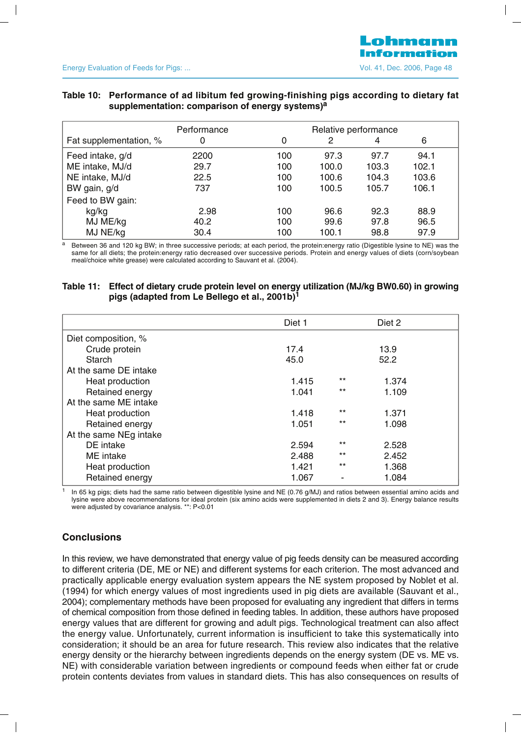# Table 10: Performance of ad libitum fed growing-finishing pigs according to dietary fat **supplementation: comparison of energy systems) a**

|                        | Performance<br>Relative performance |     |       |       |       |
|------------------------|-------------------------------------|-----|-------|-------|-------|
| Fat supplementation, % | 0                                   | 0   | 2     | 4     | 6     |
| Feed intake, g/d       | 2200                                | 100 | 97.3  | 97.7  | 94.1  |
| ME intake, MJ/d        | 29.7                                | 100 | 100.0 | 103.3 | 102.1 |
| NE intake, MJ/d        | 22.5                                | 100 | 100.6 | 104.3 | 103.6 |
| BW gain, g/d           | 737                                 | 100 | 100.5 | 105.7 | 106.1 |
| Feed to BW gain:       |                                     |     |       |       |       |
| kg/kg                  | 2.98                                | 100 | 96.6  | 92.3  | 88.9  |
| MJ ME/kg               | 40.2                                | 100 | 99.6  | 97.8  | 96.5  |
| MJ NE/kg               | 30.4                                | 100 | 100.1 | 98.8  | 97.9  |

<sup>a</sup> Between 36 and 120 kg BW; in three successive periods; at each period, the protein:energy ratio (Digestible lysine to NE) was the same for all diets; the protein:energy ratio decreased over successive periods. Protein and energy values of diets (corn/soybean meal/choice white grease) were calculated according to Sauvant et al. (2004).

#### **Table 11: Effect of dietary crude protein level on energy utilization (MJ/kg BW0.60) in growing pigs (adapted from Le Bellego et al., 2001b) 1**

|                        | Diet 1 |       | Diet 2 |  |
|------------------------|--------|-------|--------|--|
| Diet composition, %    |        |       |        |  |
| Crude protein          | 17.4   |       | 13.9   |  |
| Starch                 | 45.0   |       | 52.2   |  |
| At the same DE intake  |        |       |        |  |
| Heat production        | 1.415  | $***$ | 1.374  |  |
| Retained energy        | 1.041  | $***$ | 1.109  |  |
| At the same ME intake  |        |       |        |  |
| Heat production        | 1.418  | $***$ | 1.371  |  |
| Retained energy        | 1.051  | $***$ | 1.098  |  |
| At the same NEg intake |        |       |        |  |
| DE intake              | 2.594  | $***$ | 2.528  |  |
| ME intake              | 2.488  | $***$ | 2.452  |  |
| Heat production        | 1.421  | $***$ | 1.368  |  |
| Retained energy        | 1.067  |       | 1.084  |  |

 $1$  In 65 kg pigs; diets had the same ratio between digestible lysine and NE (0.76 g/MJ) and ratios between essential amino acids and lysine were above recommendations for ideal protein (six amino acids were supplemented in diets 2 and 3). Energy balance results were adjusted by covariance analysis. \*\*: P<0.01

# **Conclusions**

In this review, we have demonstrated that energy value of pig feeds density can be measured according to different criteria (DE, ME or NE) and different systems for each criterion. The most advanced and practically applicable energy evaluation system appears the NE system proposed by Noblet et al. (1994) for which energy values of most ingredients used in pig diets are available (Sauvant et al., 2004); complementary methods have been proposed for evaluating any ingredient that differs in terms of chemical composition from those defined in feeding tables. In addition, these authors have proposed energy values that are different for growing and adult pigs. Technological treatment can also affect the energy value. Unfortunately, current information is insufficient to take this systematically into consideration; it should be an area for future research. This review also indicates that the relative energy density or the hierarchy between ingredients depends on the energy system (DE vs. ME vs. NE) with considerable variation between ingredients or compound feeds when either fat or crude protein contents deviates from values in standard diets. This has also consequences on results of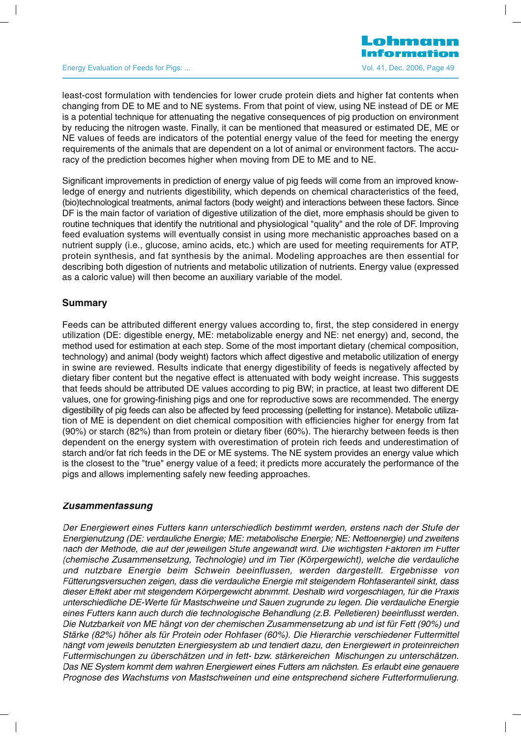#### Energy Evaluation of Feeds for Pigs: ... Change 19 and the Contract of Pigs: No. 41, Dec. 2006, Page 49

least-cost formulation with tendencies for lower crude protein diets and higher fat contents when changing from DE to ME and to NE systems. From that point of view, using NE instead of DE or ME is a potential technique for attenuating the negative consequences of pig production on environment by reducing the nitrogen waste. Finally, it can be mentioned that measured or estimated DE, ME or NE values of feeds are indicators of the potential energy value of the feed for meeting the energy requirements of the animals that are dependent on a lot of animal or environment factors. The accuracy of the prediction becomes higher when moving from DE to ME and to NE.

Significant improvements in prediction of energy value of pig feeds will come from an improved knowledge of energy and nutrients digestibility, which depends on chemical characteristics of the feed, (bio)technological treatments, animal factors (body weight) and interactions between these factors. Since DF is the main factor of variation of digestive utilization of the diet, more emphasis should be given to routine techniques that identify the nutritional and physiological "quality" and the role of DF. Improving feed evaluation systems will eventually consist in using more mechanistic approaches based on a nutrient supply (i.e., glucose, amino acids, etc.) which are used for meeting requirements for ATP, protein synthesis, and fat synthesis by the animal. Modeling approaches are then essential for describing both digestion of nutrients and metabolic utilization of nutrients. Energy value (expressed as a caloric value) will then become an auxiliary variable of the model.

#### **Summary**

Feeds can be attributed different energy values according to, first, the step considered in energy utilization (DE: digestible energy, ME: metabolizable energy and NE: net energy) and, second, the method used for estimation at each step. Some of the most important dietary (chemical composition, technology) and animal (body weight) factors which affect digestive and metabolic utilization of energy in swine are reviewed. Results indicate that energy digestibility of feeds is negatively affected by dietary fiber content but the negative effect is attenuated with body weight increase. This suggests that feeds should be attributed DE values according to pig BW; in practice, at least two different DE values, one for growing-finishing pigs and one for reproductive sows are recommended. The energy digestibility of pig feeds can also be affected by feed processing (pelletting for instance). Metabolic utilization of ME is dependent on diet chemical composition with efficiencies higher for energy from fat (90%) or starch (82%) than from protein or dietary fiber (60%). The hierarchy between feeds is then dependent on the energy system with overestimation of protein rich feeds and underestimation of starch and/or fat rich feeds in the DE or ME systems. The NE system provides an energy value which is the closest to the "true" energy value of a feed; it predicts more accurately the performance of the pigs and allows implementing safely new feeding approaches.

# **Zusammenfassung**

Der Energiewert eines Futters kann unterschiedlich bestimmt werden, erstens nach der Stufe der Energienutzung (DE: verdauliche Energie; ME: metabolische Energie; NE: Nettoenergie) und zweitens nach der Methode, die auf der jeweiligen Stufe angewandt wird. Die wichtigsten Faktoren im Futter (chemische Zusammensetzung, Technologie) und im Tier (Körpergewicht), welche die verdauliche und nutzbare Energie beim Schwein beeinflussen, werden dargestellt. Ergebnisse von Fütterungsversuchen zeigen, dass die verdauliche Energie mit steigendem Rohfaseranteil sinkt, dass dieser Effekt aber mit steigendem Körpergewicht abnimmt. Deshalb wird vorgeschlagen, für die Praxis unterschiedliche DE-Werte für Mastschweine und Sauen zugrunde zu legen. Die verdauliche Energie eines Futters kann auch durch die technologische Behandlung (z.B. Pelletieren) beeinflusst werden. Die Nutzbarkeit von ME hängt von der chemischen Zusammensetzung ab und ist für Fett (90%) und Stärke (82%) höher als für Protein oder Rohfaser (60%). Die Hierarchie verschiedener Futtermittel hängt vom jeweils benutzten Energiesystem ab und tendiert dazu, den Energiewert in proteinreichen Futtermischungen zu überschätzen und in fett- bzw. stärkereichen Mischungen zu unterschätzen. Das NE System kommt dem wahren Energiewert eines Futters am nächsten. Es erlaubt eine genauere Prognose des Wachstums von Mastschweinen und eine entsprechend sichere Futterformulierung.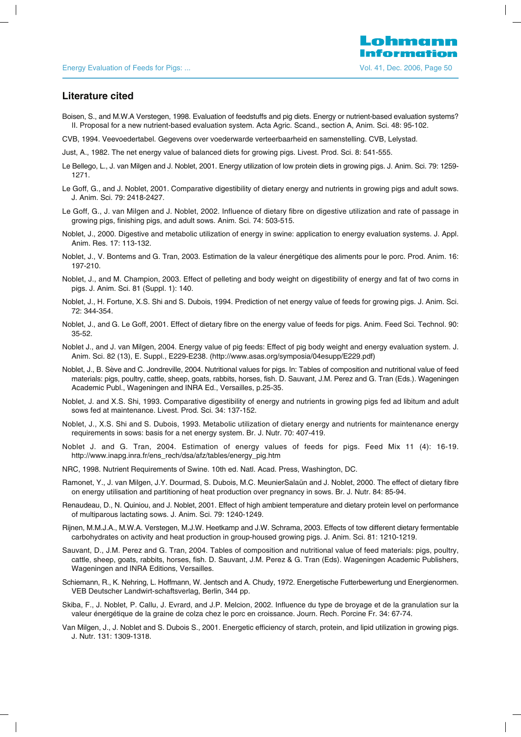#### **Literature cited**

- Boisen, S., and M.W.A Verstegen, 1998. Evaluation of feedstuffs and pig diets. Energy or nutrient-based evaluation systems? II. Proposal for a new nutrient-based evaluation system. Acta Agric. Scand., section A, Anim. Sci. 48: 95-102.
- CVB, 1994. Veevoedertabel. Gegevens over voederwarde verteerbaarheid en samenstelling. CVB, Lelystad.
- Just, A., 1982. The net energy value of balanced diets for growing pigs. Livest. Prod. Sci. 8: 541-555.
- Le Bellego, L., J. van Milgen and J. Noblet, 2001. Energy utilization of low protein diets in growing pigs. J. Anim. Sci. 79: 1259- 1271.
- Le Goff, G., and J. Noblet, 2001. Comparative digestibility of dietary energy and nutrients in growing pigs and adult sows. J. Anim. Sci. 79: 2418-2427.
- Le Goff, G., J. van Milgen and J. Noblet, 2002. Influence of dietary fibre on digestive utilization and rate of passage in growing pigs, finishing pigs, and adult sows. Anim. Sci. 74: 503-515.
- Noblet, J., 2000. Digestive and metabolic utilization of energy in swine: application to energy evaluation systems. J. Appl. Anim. Res. 17: 113-132.
- Noblet, J., V. Bontems and G. Tran, 2003. Estimation de la valeur énergétique des aliments pour le porc. Prod. Anim. 16: 197-210.
- Noblet, J., and M. Champion, 2003. Effect of pelleting and body weight on digestibility of energy and fat of two corns in pigs. J. Anim. Sci. 81 (Suppl. 1): 140.
- Noblet, J., H. Fortune, X.S. Shi and S. Dubois, 1994. Prediction of net energy value of feeds for growing pigs. J. Anim. Sci. 72: 344-354.
- Noblet, J., and G. Le Goff, 2001. Effect of dietary fibre on the energy value of feeds for pigs. Anim. Feed Sci. Technol. 90: 35-52.
- Noblet J., and J. van Milgen, 2004. Energy value of pig feeds: Effect of pig body weight and energy evaluation system. J. Anim. Sci. 82 (13), E. Suppl., E229-E238. (http://www.asas.org/symposia/04esupp/E229.pdf)
- Noblet, J., B. Sève and C. Jondreville, 2004. Nutritional values for pigs. In: Tables of composition and nutritional value of feed materials: pigs, poultry, cattle, sheep, goats, rabbits, horses, fish. D. Sauvant, J.M. Perez and G. Tran (Eds.). Wageningen Academic Publ., Wageningen and INRA Ed., Versailles, p.25-35.
- Noblet, J. and X.S. Shi, 1993. Comparative digestibility of energy and nutrients in growing pigs fed ad libitum and adult sows fed at maintenance. Livest. Prod. Sci. 34: 137-152.
- Noblet, J., X.S. Shi and S. Dubois, 1993. Metabolic utilization of dietary energy and nutrients for maintenance energy requirements in sows: basis for a net energy system. Br. J. Nutr. 70: 407-419.
- Noblet J. and G. Tran, 2004. Estimation of energy values of feeds for pigs. Feed Mix 11 (4): 16-19. http://www.inapg.inra.fr/ens\_rech/dsa/afz/tables/energy\_pig.htm
- NRC, 1998. Nutrient Requirements of Swine. 10th ed. Natl. Acad. Press, Washington, DC.
- Ramonet, Y., J. van Milgen, J.Y. Dourmad, S. Dubois, M.C. MeunierSalaün and J. Noblet, 2000. The effect of dietary fibre on energy utilisation and partitioning of heat production over pregnancy in sows. Br. J. Nutr. 84: 85-94.
- Renaudeau, D., N. Quiniou, and J. Noblet, 2001. Effect of high ambient temperature and dietary protein level on performance of multiparous lactating sows. J. Anim. Sci. 79: 1240-1249.
- Rijnen, M.M.J.A., M.W.A. Verstegen, M.J.W. Heetkamp and J.W. Schrama, 2003. Effects of tow different dietary fermentable carbohydrates on activity and heat production in group-housed growing pigs. J. Anim. Sci. 81: 1210-1219.
- Sauvant, D., J.M. Perez and G. Tran, 2004. Tables of composition and nutritional value of feed materials: pigs, poultry, cattle, sheep, goats, rabbits, horses, fish. D. Sauvant, J.M. Perez & G. Tran (Eds). Wageningen Academic Publishers, Wageningen and INRA Editions, Versailles.
- Schiemann, R., K. Nehring, L. Hoffmann, W. Jentsch and A. Chudy, 1972. Energetische Futterbewertung und Energienormen. VEB Deutscher Landwirt-schaftsverlag, Berlin, 344 pp.
- Skiba, F., J. Noblet, P. Callu, J. Evrard, and J.P. Melcion, 2002. Influence du type de broyage et de la granulation sur la valeur énergétique de la graine de colza chez le porc en croissance. Journ. Rech. Porcine Fr. 34: 67-74.
- Van Milgen, J., J. Noblet and S. Dubois S., 2001. Energetic efficiency of starch, protein, and lipid utilization in growing pigs. J. Nutr. 131: 1309-1318.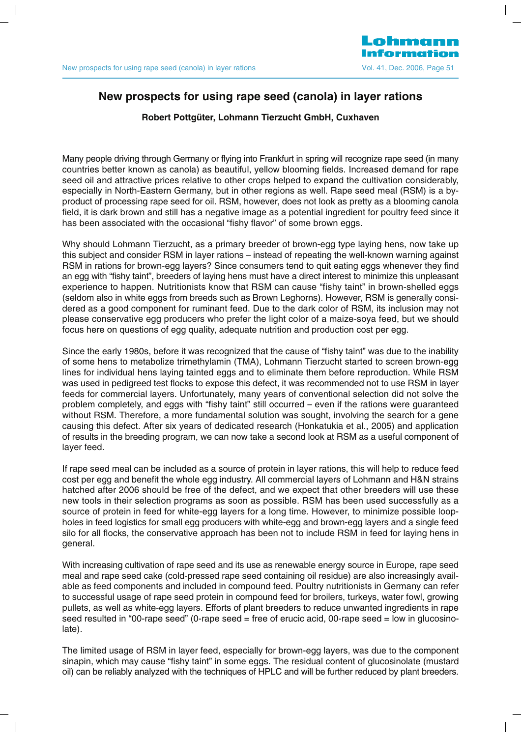

# **N f i d( l )i l i New prospects for using rape seed (canola) in layer rations**

#### **Robert Pottgüter, Lohmann Tierzucht GmbH, Cuxhaven**

Many people driving through Germany or flying into Frankfurt in spring will recognize rape seed (in many countries better known as canola) as beautiful, yellow blooming fields. Increased demand for rape seed oil and attractive prices relative to other crops helped to expand the cultivation considerably, especially in North-Eastern Germany, but in other regions as well. Rape seed meal (RSM) is a byproduct of processing rape seed for oil. RSM, however, does not look as pretty as a blooming canola field, it is dark brown and still has a negative image as a potential ingredient for poultry feed since it has been associated with the occasional "fishy flavor" of some brown eggs.

Why should Lohmann Tierzucht, as a primary breeder of brown-egg type laying hens, now take up this subject and consider RSM in layer rations – instead of repeating the well-known warning against RSM in rations for brown-egg layers? Since consumers tend to quit eating eggs whenever they find an egg with "fishy taint", breeders of laying hens must have a direct interest to minimize this unpleasant experience to happen. Nutritionists know that RSM can cause "fishy taint" in brown-shelled eggs (seldom also in white eggs from breeds such as Brown Leghorns). However, RSM is generally considered as a good component for ruminant feed. Due to the dark color of RSM, its inclusion may not please conservative egg producers who prefer the light color of a maize-soya feed, but we should focus here on questions of egg quality, adequate nutrition and production cost per egg.

Since the early 1980s, before it was recognized that the cause of "fishy taint" was due to the inability of some hens to metabolize trimethylamin (TMA), Lohmann Tierzucht started to screen brown-egg lines for individual hens laying tainted eggs and to eliminate them before reproduction. While RSM was used in pedigreed test flocks to expose this defect, it was recommended not to use RSM in layer feeds for commercial layers. Unfortunately, many years of conventional selection did not solve the problem completely, and eggs with "fishy taint" still occurred – even if the rations were guaranteed without RSM. Therefore, a more fundamental solution was sought, involving the search for a gene causing this defect. After six years of dedicated research (Honkatukia et al., 2005) and application of results in the breeding program, we can now take a second look at RSM as a useful component of layer feed.

If rape seed meal can be included as a source of protein in layer rations, this will help to reduce feed cost per egg and benefit the whole egg industry. All commercial layers of Lohmann and H&N strains hatched after 2006 should be free of the defect, and we expect that other breeders will use these new tools in their selection programs as soon as possible. RSM has been used successfully as a source of protein in feed for white-egg layers for a long time. However, to minimize possible loopholes in feed logistics for small egg producers with white-egg and brown-egg layers and a single feed silo for all flocks, the conservative approach has been not to include RSM in feed for laying hens in general.

With increasing cultivation of rape seed and its use as renewable energy source in Europe, rape seed meal and rape seed cake (cold-pressed rape seed containing oil residue) are also increasingly available as feed components and included in compound feed. Poultry nutritionists in Germany can refer to successful usage of rape seed protein in compound feed for broilers, turkeys, water fowl, growing pullets, as well as white-egg layers. Efforts of plant breeders to reduce unwanted ingredients in rape seed resulted in "00-rape seed" (0-rape seed = free of erucic acid, 00-rape seed = low in glucosinolate).

The limited usage of RSM in layer feed, especially for brown-egg layers, was due to the component sinapin, which may cause "fishy taint" in some eggs. The residual content of glucosinolate (mustard oil) can be reliably analyzed with the techniques of HPLC and will be further reduced by plant breeders.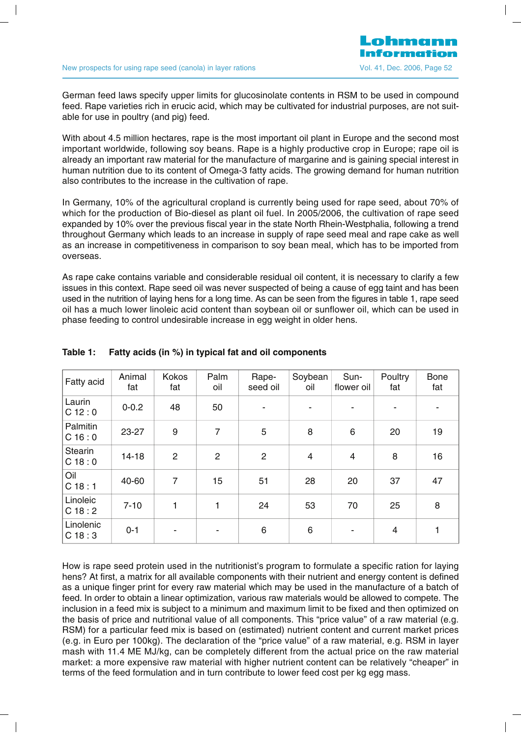German feed laws specify upper limits for glucosinolate contents in RSM to be used in compound feed. Rape varieties rich in erucic acid, which may be cultivated for industrial purposes, are not suitable for use in poultry (and pig) feed.

With about 4.5 million hectares, rape is the most important oil plant in Europe and the second most important worldwide, following soy beans. Rape is a highly productive crop in Europe; rape oil is already an important raw material for the manufacture of margarine and is gaining special interest in human nutrition due to its content of Omega-3 fatty acids. The growing demand for human nutrition also contributes to the increase in the cultivation of rape.

In Germany, 10% of the agricultural cropland is currently being used for rape seed, about 70% of which for the production of Bio-diesel as plant oil fuel. In 2005/2006, the cultivation of rape seed expanded by 10% over the previous fiscal year in the state North Rhein-Westphalia, following a trend throughout Germany which leads to an increase in supply of rape seed meal and rape cake as well as an increase in competitiveness in comparison to soy bean meal, which has to be imported from overseas.

As rape cake contains variable and considerable residual oil content, it is necessary to clarify a few issues in this context. Rape seed oil was never suspected of being a cause of egg taint and has been used in the nutrition of laying hens for a long time. As can be seen from the figures in table 1, rape seed oil has a much lower linoleic acid content than soybean oil or sunflower oil, which can be used in phase feeding to control undesirable increase in egg weight in older hens.

| Fatty acid               | Animal<br>fat | Kokos<br>fat   | Palm<br>oil    | Rape-<br>seed oil | Soybean<br>oil | Sun-<br>flower oil | Poultry<br>fat | <b>Bone</b><br>fat |
|--------------------------|---------------|----------------|----------------|-------------------|----------------|--------------------|----------------|--------------------|
| Laurin<br>C 12:0         | $0 - 0.2$     | 48             | 50             |                   |                |                    |                |                    |
| Palmitin<br>C 16:0       | 23-27         | 9              | 7              | 5                 | 8              | 6                  | 20             | 19                 |
| <b>Stearin</b><br>C 18:0 | $14 - 18$     | $\overline{2}$ | $\overline{2}$ | $\overline{2}$    | $\overline{4}$ | $\overline{4}$     | 8              | 16                 |
| Oil<br>C 18:1            | 40-60         | 7              | 15             | 51                | 28             | 20                 | 37             | 47                 |
| Linoleic<br>C18:2        | $7 - 10$      | 1              | 1              | 24                | 53             | 70                 | 25             | 8                  |
| Linolenic<br>C18:3       | $0 - 1$       | ۰              |                | 6                 | 6              | ٠                  | 4              | 1                  |

# **Table 1: Fatty acids (in %) in typical fat and oil components**

How is rape seed protein used in the nutritionist's program to formulate a specific ration for laying hens? At first, a matrix for all available components with their nutrient and energy content is defined as a unique finger print for every raw material which may be used in the manufacture of a batch of feed. In order to obtain a linear optimization, various raw materials would be allowed to compete. The inclusion in a feed mix is subject to a minimum and maximum limit to be fixed and then optimized on the basis of price and nutritional value of all components. This "price value" of a raw material (e.g. RSM) for a particular feed mix is based on (estimated) nutrient content and current market prices (e.g. in Euro per 100kg). The declaration of the "price value" of a raw material, e.g. RSM in layer mash with 11.4 ME MJ/kg, can be completely different from the actual price on the raw material market: a more expensive raw material with higher nutrient content can be relatively "cheaper" in terms of the feed formulation and in turn contribute to lower feed cost per kg egg mass.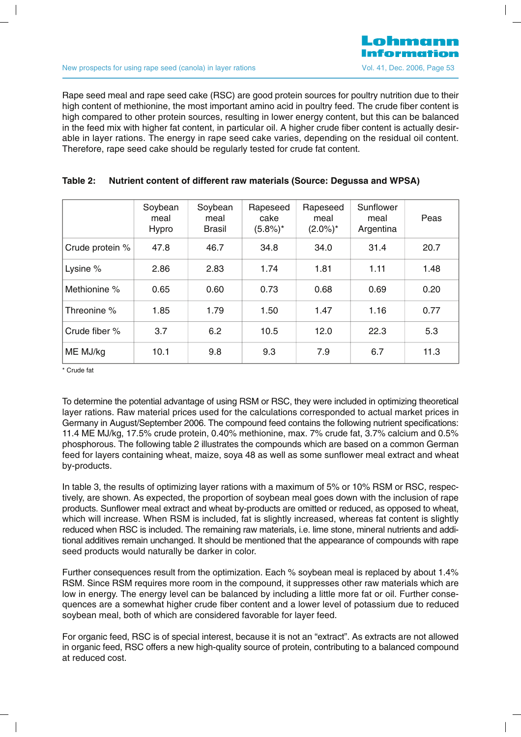Rape seed meal and rape seed cake (RSC) are good protein sources for poultry nutrition due to their high content of methionine, the most important amino acid in poultry feed. The crude fiber content is high compared to other protein sources, resulting in lower energy content, but this can be balanced in the feed mix with higher fat content, in particular oil. A higher crude fiber content is actually desirable in layer rations. The energy in rape seed cake varies, depending on the residual oil content. Therefore, rape seed cake should be regularly tested for crude fat content.

|                 | Soybean<br>meal<br>Hypro | Soybean<br>meal<br><b>Brasil</b> | Rapeseed<br>cake<br>$(5.8\%)^*$ | Rapeseed<br>meal<br>$(2.0\%)^*$ | Sunflower<br>meal<br>Argentina | Peas |
|-----------------|--------------------------|----------------------------------|---------------------------------|---------------------------------|--------------------------------|------|
| Crude protein % | 47.8                     | 46.7                             | 34.8                            | 34.0                            | 31.4                           | 20.7 |
| Lysine %        | 2.86                     | 2.83                             | 1.74                            | 1.81                            | 1.11                           | 1.48 |
| Methionine %    | 0.65                     | 0.60                             | 0.73                            | 0.68                            | 0.69                           | 0.20 |
| Threonine %     | 1.85                     | 1.79                             | 1.50                            | 1.47                            | 1.16                           | 0.77 |
| Crude fiber %   | 3.7                      | 6.2                              | 10.5                            | 12.0                            | 22.3                           | 5.3  |
| ME MJ/kg        | 10.1                     | 9.8                              | 9.3                             | 7.9                             | 6.7                            | 11.3 |

#### **Table 2: Nutrient content of different raw materials (Source: Degussa and WPSA)**

\* Crude fat

To determine the potential advantage of using RSM or RSC, they were included in optimizing theoretical layer rations. Raw material prices used for the calculations corresponded to actual market prices in Germany in August/September 2006. The compound feed contains the following nutrient specifications: 11.4 ME MJ/kg, 17.5% crude protein, 0.40% methionine, max. 7% crude fat, 3.7% calcium and 0.5% phosphorous. The following table 2 illustrates the compounds which are based on a common German feed for layers containing wheat, maize, soya 48 as well as some sunflower meal extract and wheat by-products.

In table 3, the results of optimizing layer rations with a maximum of 5% or 10% RSM or RSC, respectively, are shown. As expected, the proportion of soybean meal goes down with the inclusion of rape products. Sunflower meal extract and wheat by-products are omitted or reduced, as opposed to wheat, which will increase. When RSM is included, fat is slightly increased, whereas fat content is slightly reduced when RSC is included. The remaining raw materials, i.e. lime stone, mineral nutrients and additional additives remain unchanged. It should be mentioned that the appearance of compounds with rape seed products would naturally be darker in color.

Further consequences result from the optimization. Each % soybean meal is replaced by about 1.4% RSM. Since RSM requires more room in the compound, it suppresses other raw materials which are low in energy. The energy level can be balanced by including a little more fat or oil. Further consequences are a somewhat higher crude fiber content and a lower level of potassium due to reduced soybean meal, both of which are considered favorable for layer feed.

For organic feed, RSC is of special interest, because it is not an "extract". As extracts are not allowed in organic feed, RSC offers a new high-quality source of protein, contributing to a balanced compound at reduced cost.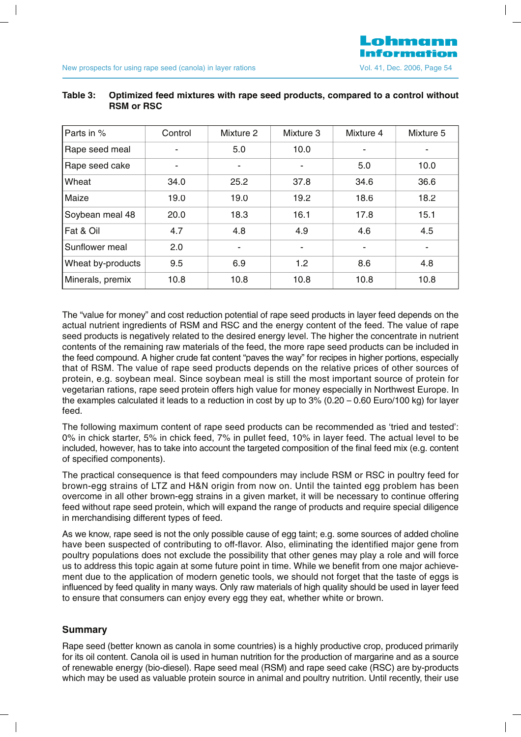| Parts in %        | Control | Mixture 2 | Mixture 3      | Mixture 4 | Mixture 5 |
|-------------------|---------|-----------|----------------|-----------|-----------|
| Rape seed meal    |         | 5.0       | 10.0           |           |           |
| Rape seed cake    |         | ٠         | $\blacksquare$ | 5.0       | 10.0      |
| Wheat             | 34.0    | 25.2      | 37.8           | 34.6      | 36.6      |
| Maize             | 19.0    | 19.0      | 19.2           | 18.6      | 18.2      |
| Soybean meal 48   | 20.0    | 18.3      | 16.1           | 17.8      | 15.1      |
| Fat & Oil         | 4.7     | 4.8       | 4.9            | 4.6       | 4.5       |
| Sunflower meal    | 2.0     | ۰         |                |           |           |
| Wheat by-products | 9.5     | 6.9       | 1.2            | 8.6       | 4.8       |
| Minerals, premix  | 10.8    | 10.8      | 10.8           | 10.8      | 10.8      |

#### **T bl O i i d f d i i h d d d l i h Table 3: Optimized feed mixtures with rape seed products, compared to a control without RSM or RSC**

The "value for money" and cost reduction potential of rape seed products in layer feed depends on the actual nutrient ingredients of RSM and RSC and the energy content of the feed. The value of rape seed products is negatively related to the desired energy level. The higher the concentrate in nutrient contents of the remaining raw materials of the feed, the more rape seed products can be included in the feed compound. A higher crude fat content "paves the way" for recipes in higher portions, especially that of RSM. The value of rape seed products depends on the relative prices of other sources of protein, e.g. soybean meal. Since soybean meal is still the most important source of protein for vegetarian rations, rape seed protein offers high value for money especially in Northwest Europe. In the examples calculated it leads to a reduction in cost by up to  $3\%$  (0.20 – 0.60 Euro/100 kg) for layer feed.

The following maximum content of rape seed products can be recommended as 'tried and tested': 0% in chick starter, 5% in chick feed, 7% in pullet feed, 10% in layer feed. The actual level to be included, however, has to take into account the targeted composition of the final feed mix (e.g. content of specified components).

The practical consequence is that feed compounders may include RSM or RSC in poultry feed for brown-egg strains of LTZ and H&N origin from now on. Until the tainted egg problem has been overcome in all other brown-egg strains in a given market, it will be necessary to continue offering feed without rape seed protein, which will expand the range of products and require special diligence in merchandising different types of feed.

As we know, rape seed is not the only possible cause of egg taint; e.g. some sources of added choline have been suspected of contributing to off-flavor. Also, eliminating the identified major gene from poultry populations does not exclude the possibility that other genes may play a role and will force us to address this topic again at some future point in time. While we benefit from one major achievement due to the application of modern genetic tools, we should not forget that the taste of eggs is influenced by feed quality in many ways. Only raw materials of high quality should be used in layer feed to ensure that consumers can enjoy every egg they eat, whether white or brown.

#### **Summary**

Rape seed (better known as canola in some countries) is a highly productive crop, produced primarily for its oil content. Canola oil is used in human nutrition for the production of margarine and as a source of renewable energy (bio-diesel). Rape seed meal (RSM) and rape seed cake (RSC) are by-products which may be used as valuable protein source in animal and poultry nutrition. Until recently, their use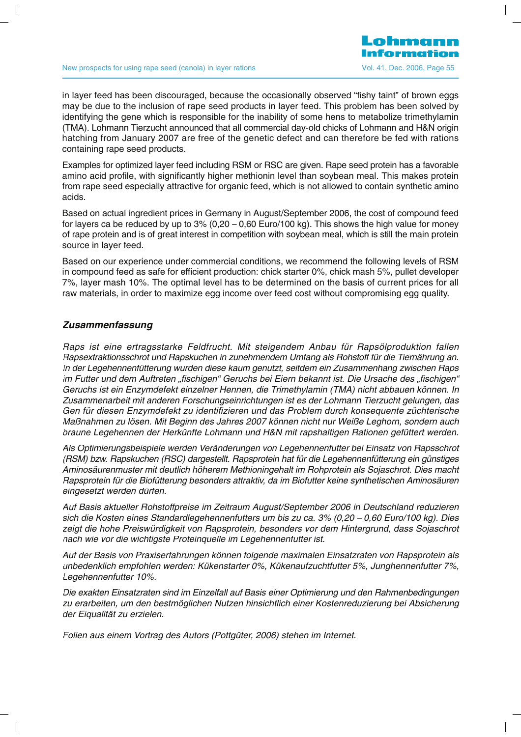in laver feed has been discouraged, because the occasionally observed "fishy taint" of brown eggs may be due to the inclusion of rape seed products in layer feed. This problem has been solved by identifying the gene which is responsible for the inability of some hens to metabolize trimethylamin (TMA). Lohmann Tierzucht announced that all commercial day-old chicks of Lohmann and H&N origin hatching from January 2007 are free of the genetic defect and can therefore be fed with rations containing rape seed products.

Examples for optimized layer feed including RSM or RSC are given. Rape seed protein has a favorable amino acid profile, with significantly higher methionin level than soybean meal. This makes protein from rape seed especially attractive for organic feed, which is not allowed to contain synthetic amino acids.

Based on actual ingredient prices in Germany in August/September 2006, the cost of compound feed for layers ca be reduced by up to  $3\%$  (0,20 – 0,60 Euro/100 kg). This shows the high value for money of rape protein and is of great interest in competition with soybean meal, which is still the main protein source in layer feed.

Based on our experience under commercial conditions, we recommend the following levels of RSM in compound feed as safe for efficient production: chick starter 0%, chick mash 5%, pullet developer 7%, layer mash 10%. The optimal level has to be determined on the basis of current prices for all raw materials, in order to maximize egg income over feed cost without compromising egg quality.

#### **Zusammenfassung**

Raps ist eine ertragsstarke Feldfrucht. Mit steigendem Anbau für Rapsölproduktion fallen Rapsextraktionsschrot und Rapskuchen in zunehmendem Umfang als Rohstoff für die Tiernährung an. In der Legehennenfütterung wurden diese kaum genutzt, seitdem ein Zusammenhang zwischen Raps im Futter und dem Auftreten "fischigen" Geruchs bei Eiern bekannt ist. Die Ursache des "fischigen" Geruchs ist ein Enzymdefekt einzelner Hennen, die Trimethylamin (TMA) nicht abbauen können. In Zusammenarbeit mit anderen Forschungseinrichtungen ist es der Lohmann Tierzucht gelungen, das Gen für diesen Enzymdefekt zu identifizieren und das Problem durch konsequente züchterische Maßnahmen zu lösen. Mit Beginn des Jahres 2007 können nicht nur Weiße Leghorn, sondern auch braune Legehennen der Herkünfte Lohmann und H&N mit rapshaltigen Rationen gefüttert werden.

Als Optimierungsbeispiele werden Veränderungen von Legehennenfutter bei Einsatz von Rapsschrot (RSM) bzw. Rapskuchen (RSC) dargestellt. Rapsprotein hat für die Legehennenfütterung ein günstiges Aminosäurenmuster mit deutlich höherem Methioningehalt im Rohprotein als Sojaschrot. Dies macht Rapsprotein für die Biofütterung besonders attraktiv, da im Biofutter keine synthetischen Aminosäuren eingesetzt werden dürfen.

Auf Basis aktueller Rohstoffpreise im Zeitraum August/September 2006 in Deutschland reduzieren sich die Kosten eines Standardlegehennenfutters um bis zu ca. 3% (0,20 – 0,60 Euro/100 kg). Dies zeigt die hohe Preiswürdigkeit von Rapsprotein, besonders vor dem Hintergrund, dass Sojaschrot nach wie vor die wichtigste Proteinquelle im Legehennenfutter ist.

Auf der Basis von Praxiserfahrungen können folgende maximalen Einsatzraten von Rapsprotein als unbedenklich empfohlen werden: Kükenstarter 0%, Kükenaufzuchtfutter 5%, Junghennenfutter 7%, Legehennenfutter 10%.

Die exakten Einsatzraten sind im Einzelfall auf Basis einer Optimierung und den Rahmenbedingungen zu erarbeiten, um den bestmöglichen Nutzen hinsichtlich einer Kostenreduzierung bei Absicherung der Eiqualität zu erzielen.

Folien aus einem Vortrag des Autors (Pottgüter, 2006) stehen im Internet.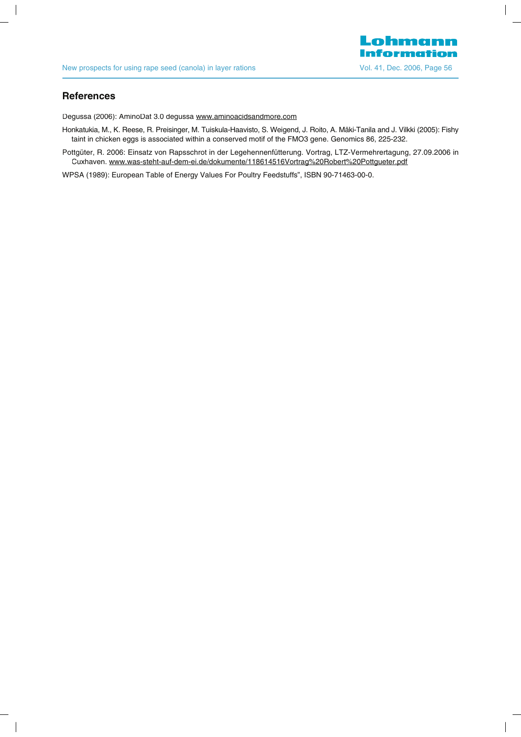

 $\overline{\phantom{a}}$ 

#### **R f e erences**

 $\overline{\phantom{a}}$ 

Degussa (2006): AminoDat 3.0 degussa www.aminoacidsandmore.com

Honkatukia, M., K. Reese, R. Preisinger, M. Tuiskula-Haavisto, S. Weigend, J. Roito, A. Mäki-Tanila and J. Vilkki (2005): Fishy taint in chicken eggs is associated within a conserved motif of the FMO3 gene. Genomics 86, 225-232.

Pottgüter, R. 2006: Einsatz von Rapsschrot in der Legehennenfütterung. Vortrag, LTZ-Vermehrertagung, 27.09.2006 in Cuxhaven. www.was-steht-auf-dem-ei.de/dokumente/118614516Vortrag%20Robert%20Pottgueter.pdf

WPSA (1989): European Table of Energy Values For Poultry Feedstuffs", ISBN 90-71463-00-0.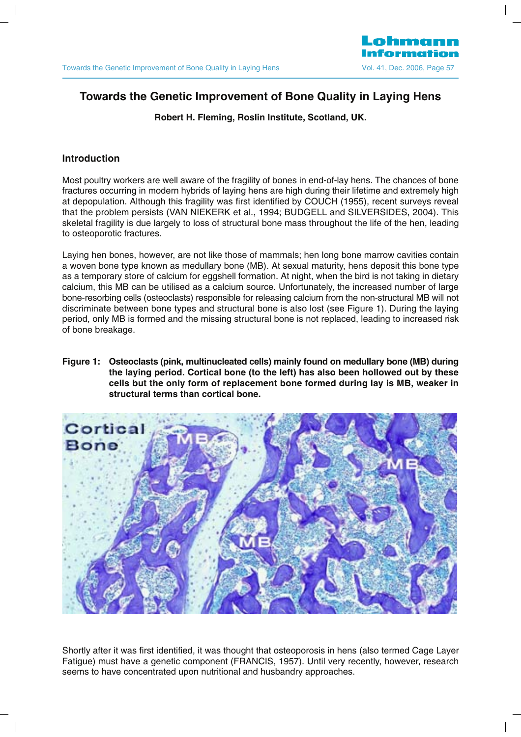# **Towards the Genetic Improvement of Bone Quality in Laying Hens**

**Robert H. Fleming, Roslin Institute, Scotland, UK.**

# **Introduction**

Most poultry workers are well aware of the fragility of bones in end-of-lay hens. The chances of bone fractures occurring in modern hybrids of laying hens are high during their lifetime and extremely high at depopulation. Although this fragility was first identified by COUCH (1955), recent surveys reveal that the problem persists (VAN NIEKERK et al., 1994; BUDGELL and SILVERSIDES, 2004). This skeletal fragility is due largely to loss of structural bone mass throughout the life of the hen, leading to osteoporotic fractures.

Laying hen bones, however, are not like those of mammals; hen long bone marrow cavities contain a woven bone type known as medullary bone (MB). At sexual maturity, hens deposit this bone type as a temporary store of calcium for eggshell formation. At night, when the bird is not taking in dietary calcium, this MB can be utilised as a calcium source. Unfortunately, the increased number of large bone-resorbing cells (osteoclasts) responsible for releasing calcium from the non-structural MB will not discriminate between bone types and structural bone is also lost (see Figure 1). During the laying period, only MB is formed and the missing structural bone is not replaced, leading to increased risk of bone breakage.

**Figure 1: Osteoclasts (pink, multinucleated cells) mainly found on medullary bone (MB) during the laying period. Cortical bone (to the left) has also been hollowed out by these cells but the only form of replacement bone formed during lay is MB, weaker in structural terms than cortical bone.**



Shortly after it was first identified, it was thought that osteoporosis in hens (also termed Cage Layer Fatigue) must have a genetic component (FRANCIS, 1957). Until very recently, however, research seems to have concentrated upon nutritional and husbandry approaches.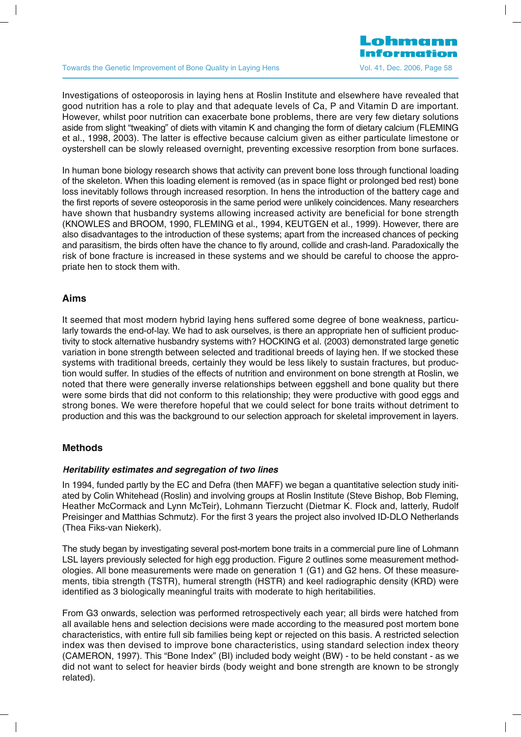#### Towards the Genetic Improvement of Bone Quality in Laying Hens Vol. 41, Dec. 2006, Page 58

Lohmann

Investigations of osteoporosis in laving hens at Roslin Institute and elsewhere have revealed that good nutrition has a role to play and that adequate levels of Ca, P and Vitamin D are important. However, whilst poor nutrition can exacerbate bone problems, there are very few dietary solutions aside from slight "tweaking" of diets with vitamin K and changing the form of dietary calcium (FLEMING et al., 1998, 2003). The latter is effective because calcium given as either particulate limestone or oystershell can be slowly released overnight, preventing excessive resorption from bone surfaces.

In human bone biology research shows that activity can prevent bone loss through functional loading of the skeleton. When this loading element is removed (as in space flight or prolonged bed rest) bone loss inevitably follows through increased resorption. In hens the introduction of the battery cage and the first reports of severe osteoporosis in the same period were unlikely coincidences. Many researchers have shown that husbandry systems allowing increased activity are beneficial for bone strength (KNOWLES and BROOM, 1990, FLEMING et al., 1994, KEUTGEN et al., 1999). However, there are also disadvantages to the introduction of these systems; apart from the increased chances of pecking and parasitism, the birds often have the chance to fly around, collide and crash-land. Paradoxically the risk of bone fracture is increased in these systems and we should be careful to choose the appropriate hen to stock them with.

#### **Aims**

It seemed that most modern hybrid laying hens suffered some degree of bone weakness, particularly towards the end-of-lay. We had to ask ourselves, is there an appropriate hen of sufficient productivity to stock alternative husbandry systems with? HOCKING et al. (2003) demonstrated large genetic variation in bone strength between selected and traditional breeds of laying hen. If we stocked these systems with traditional breeds, certainly they would be less likely to sustain fractures, but production would suffer. In studies of the effects of nutrition and environment on bone strength at Roslin, we noted that there were generally inverse relationships between eggshell and bone quality but there were some birds that did not conform to this relationship; they were productive with good eggs and strong bones. We were therefore hopeful that we could select for bone traits without detriment to production and this was the background to our selection approach for skeletal improvement in layers.

#### **Methods**

#### **Heritability estimates and segregation of two lines**

In 1994, funded partly by the EC and Defra (then MAFF) we began a quantitative selection study initiated by Colin Whitehead (Roslin) and involving groups at Roslin Institute (Steve Bishop, Bob Fleming, Heather McCormack and Lynn McTeir), Lohmann Tierzucht (Dietmar K. Flock and, latterly, Rudolf Preisinger and Matthias Schmutz). For the first 3 years the project also involved ID-DLO Netherlands (Thea Fiks-van Niekerk).

The study began by investigating several post-mortem bone traits in a commercial pure line of Lohmann LSL layers previously selected for high egg production. Figure 2 outlines some measurement methodologies. All bone measurements were made on generation 1 (G1) and G2 hens. Of these measurements, tibia strength (TSTR), humeral strength (HSTR) and keel radiographic density (KRD) were identified as 3 biologically meaningful traits with moderate to high heritabilities.

From G3 onwards, selection was performed retrospectively each year; all birds were hatched from all available hens and selection decisions were made according to the measured post mortem bone characteristics, with entire full sib families being kept or rejected on this basis. A restricted selection index was then devised to improve bone characteristics, using standard selection index theory (CAMERON, 1997). This "Bone Index" (BI) included body weight (BW) - to be held constant - as we did not want to select for heavier birds (body weight and bone strength are known to be strongly related).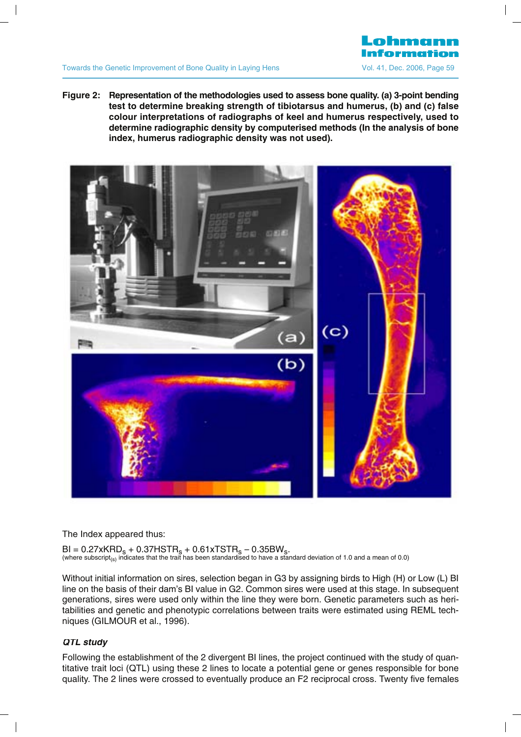

**Figure 2:** Representation of the methodologies used to assess bone quality. (a) 3-point bending **test to determine breaking strength of tibiotarsus and humerus, (b) and (c) false colour interpretations of radiographs of keel and humerus respectively, used to determine radiographic density by computerised methods (In the analysis of bone index, humerus radiographic density was not used).**

Lohmann



The Index appeared thus:

 $BI = 0.27xKRD<sub>S</sub> + 0.37HSTR<sub>S</sub> + 0.61xTSTR<sub>S</sub> - 0.35BW<sub>S</sub>.$  (where subscript<sub>(s)</sub> indicates that the trait has been standardised to have a standard deviation of 1.0 and a mean of 0.0)

Without initial information on sires, selection began in G3 by assigning birds to High (H) or Low (L) BI line on the basis of their dam's BI value in G2. Common sires were used at this stage. In subsequent generations, sires were used only within the line they were born. Genetic parameters such as heritabilities and genetic and phenotypic correlations between traits were estimated using REML techniques (GILMOUR et al., 1996).

# **QTL study**

Following the establishment of the 2 divergent BI lines, the project continued with the study of quantitative trait loci (QTL) using these 2 lines to locate a potential gene or genes responsible for bone quality. The 2 lines were crossed to eventually produce an F2 reciprocal cross. Twenty five females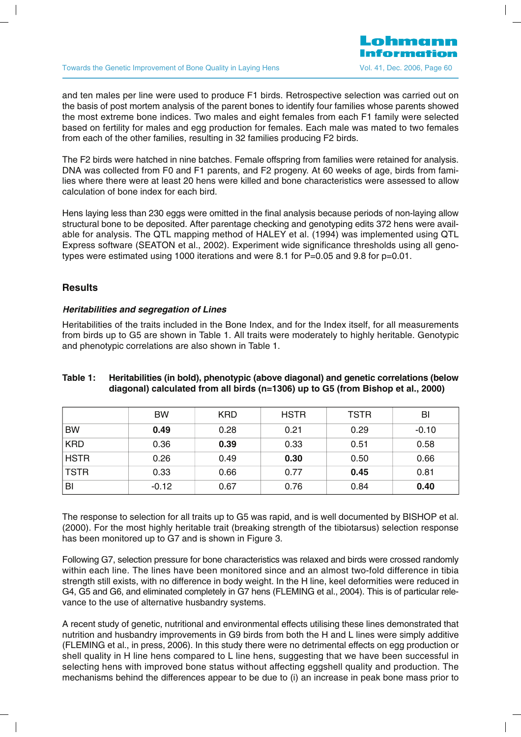and ten males per line were used to produce F1 birds. Retrospective selection was carried out on the basis of post mortem analysis of the parent bones to identify four families whose parents showed the most extreme bone indices. Two males and eight females from each F1 family were selected based on fertility for males and egg production for females. Each male was mated to two females from each of the other families, resulting in 32 families producing F2 birds.

The F2 birds were hatched in nine batches. Female offspring from families were retained for analysis. DNA was collected from F0 and F1 parents, and F2 progeny. At 60 weeks of age, birds from families where there were at least 20 hens were killed and bone characteristics were assessed to allow calculation of bone index for each bird.

Hens laying less than 230 eggs were omitted in the final analysis because periods of non-laying allow structural bone to be deposited. After parentage checking and genotyping edits 372 hens were available for analysis. The QTL mapping method of HALEY et al. (1994) was implemented using QTL Express software (SEATON et al., 2002). Experiment wide significance thresholds using all genotypes were estimated using 1000 iterations and were 8.1 for P=0.05 and 9.8 for p=0.01.

#### **Results**

#### **Heritabilities and segregation of Lines**

Heritabilities of the traits included in the Bone Index, and for the Index itself, for all measurements from birds up to G5 are shown in Table 1. All traits were moderately to highly heritable. Genotypic and phenotypic correlations are also shown in Table 1.

#### **Table 1: Heritabilities (in bold), phenotypic (above diagonal) and genetic correlations (below diagonal) calculated from all birds (n=1306) up to G5 (from Bishop et al., 2000)**

|             | <b>BW</b> | <b>KRD</b> | <b>HSTR</b> | <b>TSTR</b> | BI      |
|-------------|-----------|------------|-------------|-------------|---------|
| <b>BW</b>   | 0.49      | 0.28       | 0.21        | 0.29        | $-0.10$ |
| <b>KRD</b>  | 0.36      | 0.39       | 0.33        | 0.51        | 0.58    |
| <b>HSTR</b> | 0.26      | 0.49       | 0.30        | 0.50        | 0.66    |
| <b>TSTR</b> | 0.33      | 0.66       | 0.77        | 0.45        | 0.81    |
| BI          | $-0.12$   | 0.67       | 0.76        | 0.84        | 0.40    |

The response to selection for all traits up to G5 was rapid, and is well documented by BISHOP et al. (2000). For the most highly heritable trait (breaking strength of the tibiotarsus) selection response has been monitored up to G7 and is shown in Figure 3.

Following G7, selection pressure for bone characteristics was relaxed and birds were crossed randomly within each line. The lines have been monitored since and an almost two-fold difference in tibia strength still exists, with no difference in body weight. In the H line, keel deformities were reduced in G4, G5 and G6, and eliminated completely in G7 hens (FLEMING et al., 2004). This is of particular relevance to the use of alternative husbandry systems.

A recent study of genetic, nutritional and environmental effects utilising these lines demonstrated that nutrition and husbandry improvements in G9 birds from both the H and L lines were simply additive (FLEMING et al., in press, 2006). In this study there were no detrimental effects on egg production or shell quality in H line hens compared to L line hens, suggesting that we have been successful in selecting hens with improved bone status without affecting eggshell quality and production. The mechanisms behind the differences appear to be due to (i) an increase in peak bone mass prior to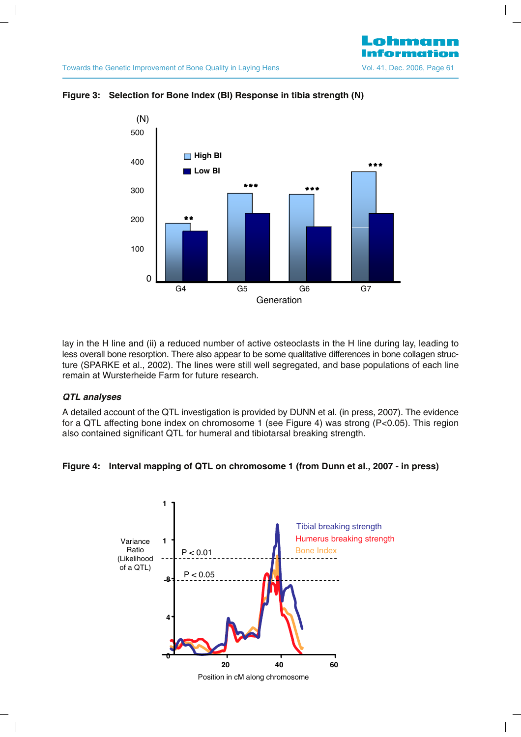

**Figure 3: Selection for Bone Index (BI) Response in tibia strength (N)** 

lay in the H line and (ii) a reduced number of active osteoclasts in the H line during lay, leading to less overall bone resorption. There also appear to be some qualitative differences in bone collagen structure (SPARKE et al., 2002). The lines were still well segregated, and base populations of each line remain at Wursterheide Farm for future research.

#### **QTL analyses**

A detailed account of the QTL investigation is provided by DUNN et al. (in press, 2007). The evidence for a QTL affecting bone index on chromosome 1 (see Figure 4) was strong (P<0.05). This region also contained significant QTL for humeral and tibiotarsal breaking strength.





Position in cM along chromosome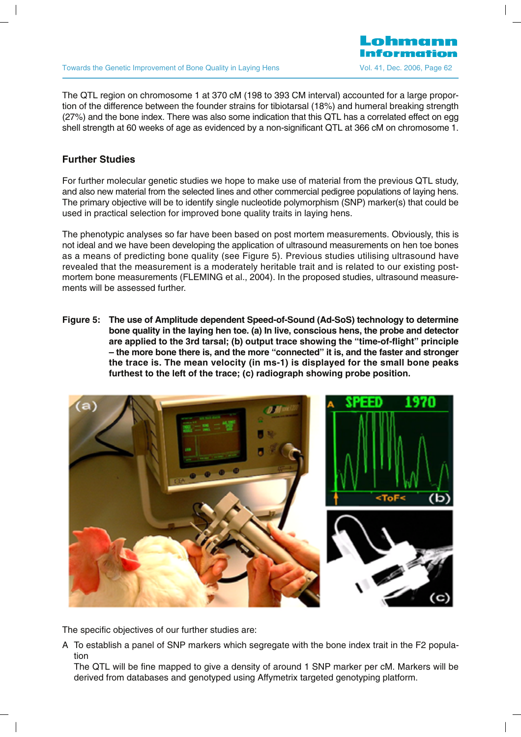#### Towards the Genetic Improvement of Bone Quality in Laying Hens Vol. 41, Dec. 2006, Page 62

The QTL region on chromosome 1 at 370 cM (198 to 393 CM interval) accounted for a large proportion of the difference between the founder strains for tibiotarsal (18%) and humeral breaking strength (27%) and the bone index. There was also some indication that this QTL has a correlated effect on egg shell strength at 60 weeks of age as evidenced by a non-significant QTL at 366 cM on chromosome 1.

ohmann

# **Further Studies**

For further molecular genetic studies we hope to make use of material from the previous QTL study, and also new material from the selected lines and other commercial pedigree populations of laying hens. The primary objective will be to identify single nucleotide polymorphism (SNP) marker(s) that could be used in practical selection for improved bone quality traits in laying hens.

The phenotypic analyses so far have been based on post mortem measurements. Obviously, this is not ideal and we have been developing the application of ultrasound measurements on hen toe bones as a means of predicting bone quality (see Figure 5). Previous studies utilising ultrasound have revealed that the measurement is a moderately heritable trait and is related to our existing postmortem bone measurements (FLEMING et al., 2004). In the proposed studies, ultrasound measurements will be assessed further.

**Figure 5: The use of Amplitude dependent Speed-of-Sound (Ad-SoS) technology to determine bone quality in the laying hen toe. (a) In live, conscious hens, the probe and detector are applied to the 3rd tarsal; (b) output trace showing the "time-of-flight" principle – the more bone there is, and the more "connected" it is, and the faster and stronger the trace is. The mean velocity (in ms-1) is displayed for the small bone peaks furthest to the left of the trace; (c) radiograph showing probe position.**

![](_page_33_Picture_6.jpeg)

The specific objectives of our further studies are:

A To establish a panel of SNP markers which segregate with the bone index trait in the F2 population

The QTL will be fine mapped to give a density of around 1 SNP marker per cM. Markers will be derived from databases and genotyped using Affymetrix targeted genotyping platform.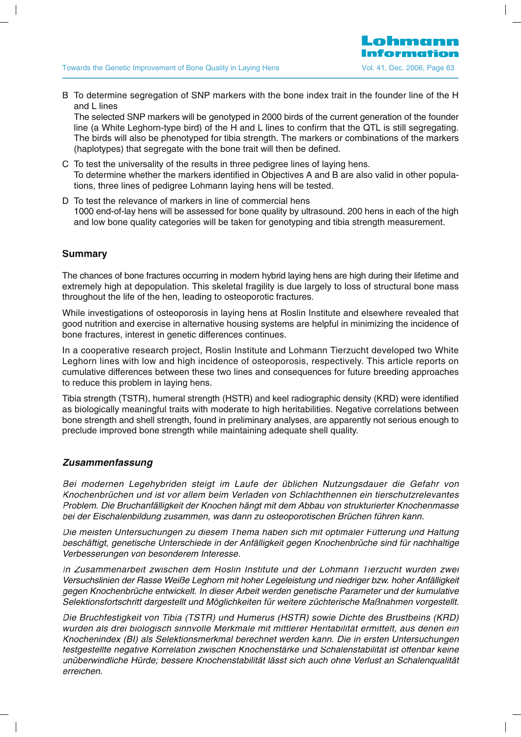B To determine segregation of SNP markers with the bone index trait in the founder line of the H and L lines

The selected SNP markers will be genotyped in 2000 birds of the current generation of the founder line (a White Leghorn-type bird) of the H and L lines to confirm that the QTL is still segregating. The birds will also be phenotyped for tibia strength. The markers or combinations of the markers (haplotypes) that segregate with the bone trait will then be defined.

- C To test the universality of the results in three pedigree lines of laying hens. To determine whether the markers identified in Objectives A and B are also valid in other populations, three lines of pedigree Lohmann laying hens will be tested.
- D To test the relevance of markers in line of commercial hens 1000 end-of-lay hens will be assessed for bone quality by ultrasound. 200 hens in each of the high and low bone quality categories will be taken for genotyping and tibia strength measurement.

# **Summary**

The chances of bone fractures occurring in modern hybrid laying hens are high during their lifetime and extremely high at depopulation. This skeletal fragility is due largely to loss of structural bone mass throughout the life of the hen, leading to osteoporotic fractures.

While investigations of osteoporosis in laying hens at Roslin Institute and elsewhere revealed that good nutrition and exercise in alternative housing systems are helpful in minimizing the incidence of bone fractures, interest in genetic differences continues.

In a cooperative research project, Roslin Institute and Lohmann Tierzucht developed two White Leghorn lines with low and high incidence of osteoporosis, respectively. This article reports on cumulative differences between these two lines and consequences for future breeding approaches to reduce this problem in laying hens.

Tibia strength (TSTR), humeral strength (HSTR) and keel radiographic density (KRD) were identified as biologically meaningful traits with moderate to high heritabilities. Negative correlations between bone strength and shell strength, found in preliminary analyses, are apparently not serious enough to preclude improved bone strength while maintaining adequate shell quality.

# **Zusammenfassung**

Bei modernen Legehybriden steigt im Laufe der üblichen Nutzungsdauer die Gefahr von Knochenbrüchen und ist vor allem beim Verladen von Schlachthennen ein tierschutzrelevantes Problem. Die Bruchanfälligkeit der Knochen hängt mit dem Abbau von strukturierter Knochenmasse bei der Eischalenbildung zusammen, was dann zu osteoporotischen Brüchen führen kann.

Die meisten Untersuchungen zu diesem Thema haben sich mit optimaler Fütterung und Haltung beschäftigt, genetische Unterschiede in der Anfälligkeit gegen Knochenbrüche sind für nachhaltige Verbesserungen von besonderem Interesse.

In Zusammenarbeit zwischen dem Roslin Institute und der Lohmann Tierzucht wurden zwei Versuchslinien der Rasse Weiße Leghorn mit hoher Legeleistung und niedriger bzw. hoher Anfälligkeit gegen Knochenbrüche entwickelt. In dieser Arbeit werden genetische Parameter und der kumulative Selektionsfortschritt dargestellt und Möglichkeiten für weitere züchterische Maßnahmen vorgestellt.

Die Bruchfestigkeit von Tibia (TSTR) und Humerus (HSTR) sowie Dichte des Brustbeins (KRD) wurden als drei biologisch sinnvolle Merkmale mit mittlerer Heritabilität ermittelt, aus denen ein Knochenindex (BI) als Selektionsmerkmal berechnet werden kann. Die in ersten Untersuchungen festgestellte negative Korrelation zwischen Knochenstärke und Schalenstabilität ist offenbar keine unüberwindliche Hürde; bessere Knochenstabilität lässt sich auch ohne Verlust an Schalenqualität erreichen.